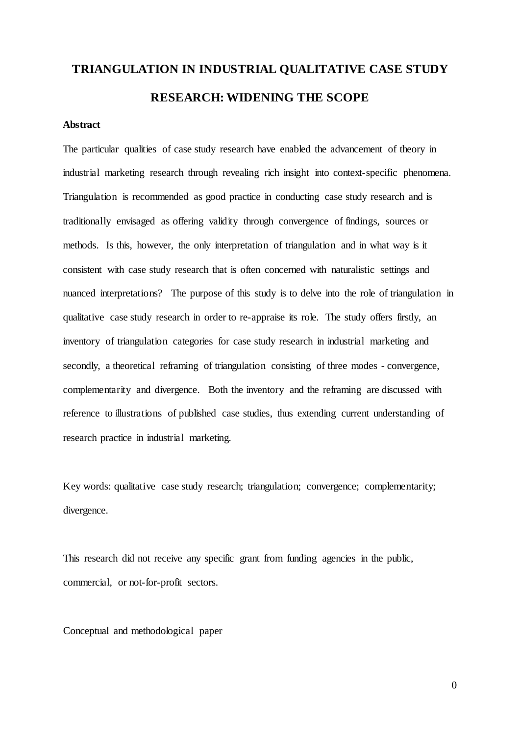# **TRIANGULATION IN INDUSTRIAL QUALITATIVE CASE STUDY RESEARCH: WIDENING THE SCOPE**

#### **Abstract**

The particular qualities of case study research have enabled the advancement of theory in industrial marketing research through revealing rich insight into context-specific phenomena. Triangulation is recommended as good practice in conducting case study research and is traditionally envisaged as offering validity through convergence of findings, sources or methods. Is this, however, the only interpretation of triangulation and in what way is it consistent with case study research that is often concerned with naturalistic settings and nuanced interpretations? The purpose of this study is to delve into the role of triangulation in qualitative case study research in order to re-appraise its role. The study offers firstly, an inventory of triangulation categories for case study research in industrial marketing and secondly, a theoretical reframing of triangulation consisting of three modes - convergence, complementarity and divergence. Both the inventory and the reframing are discussed with reference to illustrations of published case studies, thus extending current understanding of research practice in industrial marketing.

Key words: qualitative case study research; triangulation; convergence; complementarity; divergence.

This research did not receive any specific grant from funding agencies in the public, commercial, or not-for-profit sectors.

Conceptual and methodological paper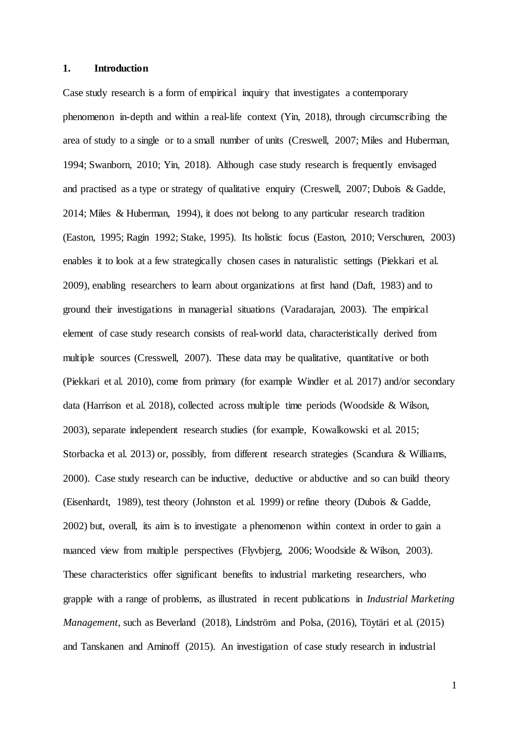#### **1. Introduction**

Case study research is a form of empirical inquiry that investigates a contemporary phenomenon in-depth and within a real-life context (Yin, 2018), through circumscribing the area of study to a single or to a small number of units (Creswell, 2007; Miles and Huberman, 1994; Swanborn, 2010; Yin, 2018). Although case study research is frequently envisaged and practised as a type or strategy of qualitative enquiry (Creswell, 2007; Dubois & Gadde, 2014; Miles & Huberman, 1994), it does not belong to any particular research tradition (Easton, 1995; Ragin 1992; Stake, 1995). Its holistic focus (Easton, 2010; Verschuren, 2003) enables it to look at a few strategically chosen cases in naturalistic settings (Piekkari et al. 2009), enabling researchers to learn about organizations at first hand (Daft, 1983) and to ground their investigations in managerial situations (Varadarajan, 2003). The empirical element of case study research consists of real-world data, characteristically derived from multiple sources (Cresswell, 2007). These data may be qualitative, quantitative or both (Piekkari et al. 2010), come from primary (for example Windler et al. 2017) and/or secondary data (Harrison et al. 2018), collected across multiple time periods (Woodside & Wilson, 2003), separate independent research studies (for example, Kowalkowski et al. 2015; Storbacka et al. 2013) or, possibly, from different research strategies (Scandura & Williams, 2000). Case study research can be inductive, deductive or abductive and so can build theory (Eisenhardt, 1989), test theory (Johnston et al. 1999) or refine theory (Dubois & Gadde, 2002) but, overall, its aim is to investigate a phenomenon within context in order to gain a nuanced view from multiple perspectives (Flyvbjerg, 2006; Woodside & Wilson, 2003). These characteristics offer significant benefits to industrial marketing researchers, who grapple with a range of problems, as illustrated in recent publications in *Industrial Marketing Management,* such as Beverland (2018), Lindström and Polsa, (2016), Töytäri et al. (2015) and Tanskanen and Aminoff (2015). An investigation of case study research in industrial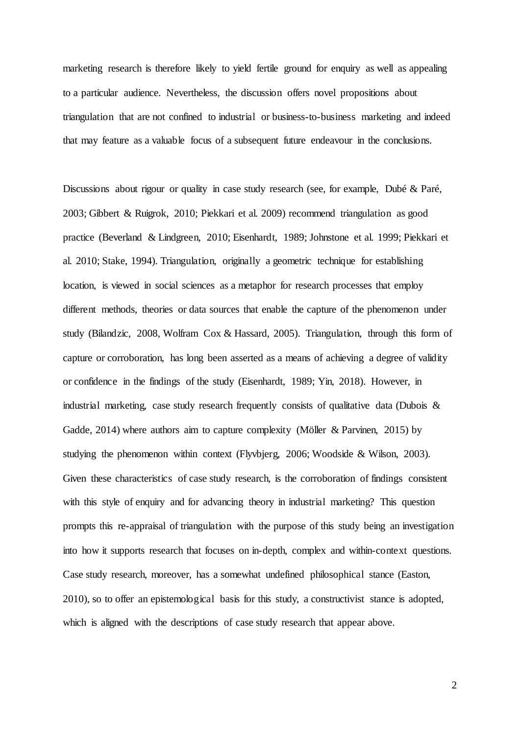marketing research is therefore likely to yield fertile ground for enquiry as well as appealing to a particular audience. Nevertheless, the discussion offers novel propositions about triangulation that are not confined to industrial or business-to-business marketing and indeed that may feature as a valuable focus of a subsequent future endeavour in the conclusions.

Discussions about rigour or quality in case study research (see, for example, Dubé & Paré, 2003; Gibbert & Ruigrok, 2010; Piekkari et al. 2009) recommend triangulation as good practice (Beverland & Lindgreen, 2010; Eisenhardt, 1989; Johnstone et al. 1999; Piekkari et al. 2010; Stake, 1994). Triangulation, originally a geometric technique for establishing location, is viewed in social sciences as a metaphor for research processes that employ different methods, theories or data sources that enable the capture of the phenomenon under study (Bilandzic, 2008, Wolfram Cox & Hassard, 2005). Triangulation, through this form of capture or corroboration, has long been asserted as a means of achieving a degree of validity or confidence in the findings of the study (Eisenhardt, 1989; Yin, 2018). However, in industrial marketing, case study research frequently consists of qualitative data (Dubois  $\&$ Gadde, 2014) where authors aim to capture complexity (Möller & Parvinen, 2015) by studying the phenomenon within context (Flyvbjerg, 2006; Woodside & Wilson, 2003). Given these characteristics of case study research, is the corroboration of findings consistent with this style of enquiry and for advancing theory in industrial marketing? This question prompts this re-appraisal of triangulation with the purpose of this study being an investigation into how it supports research that focuses on in-depth, complex and within-context questions. Case study research, moreover, has a somewhat undefined philosophical stance (Easton, 2010), so to offer an epistemological basis for this study, a constructivist stance is adopted, which is aligned with the descriptions of case study research that appear above.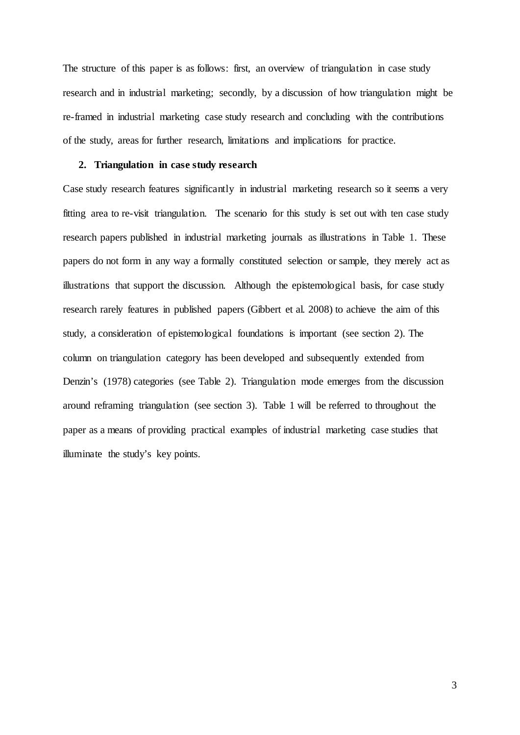The structure of this paper is as follows: first, an overview of triangulation in case study research and in industrial marketing; secondly, by a discussion of how triangulation might be re-framed in industrial marketing case study research and concluding with the contributions of the study, areas for further research, limitations and implications for practice.

#### **2. Triangulation in case study research**

Case study research features significantly in industrial marketing research so it seems a very fitting area to re-visit triangulation. The scenario for this study is set out with ten case study research papers published in industrial marketing journals as illustrations in Table 1. These papers do not form in any way a formally constituted selection or sample, they merely act as illustrations that support the discussion. Although the epistemological basis, for case study research rarely features in published papers (Gibbert et al. 2008) to achieve the aim of this study, a consideration of epistemological foundations is important (see section 2). The column on triangulation category has been developed and subsequently extended from Denzin's (1978) categories (see Table 2). Triangulation mode emerges from the discussion around reframing triangulation (see section 3). Table 1 will be referred to throughout the paper as a means of providing practical examples of industrial marketing case studies that illuminate the study's key points.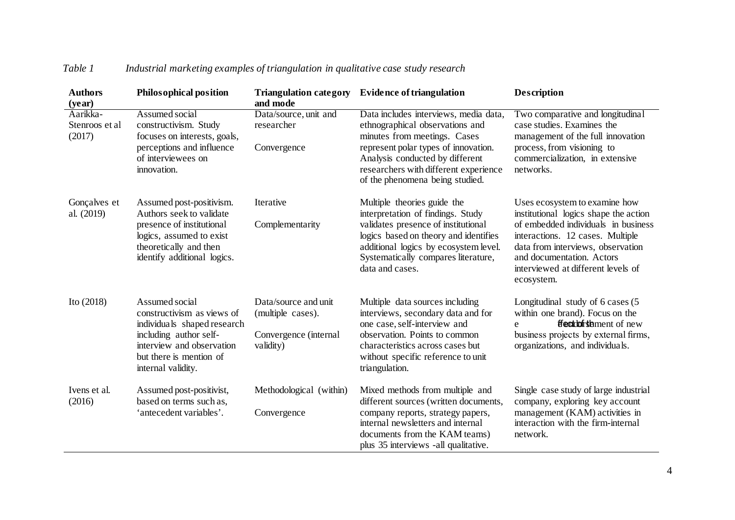| <b>Authors</b><br>(year)             | <b>Philosophical position</b>                                                                                                                                                       | <b>Triangulation category</b><br>and mode                                       | <b>Evidence of triangulation</b>                                                                                                                                                                                                                    | <b>Description</b>                                                                                                                                                                                                                                                      |
|--------------------------------------|-------------------------------------------------------------------------------------------------------------------------------------------------------------------------------------|---------------------------------------------------------------------------------|-----------------------------------------------------------------------------------------------------------------------------------------------------------------------------------------------------------------------------------------------------|-------------------------------------------------------------------------------------------------------------------------------------------------------------------------------------------------------------------------------------------------------------------------|
| Aarikka-<br>Stenroos et al<br>(2017) | Assumed social<br>constructivism. Study<br>focuses on interests, goals,<br>perceptions and influence                                                                                | Data/source, unit and<br>researcher<br>Convergence                              | Data includes interviews, media data,<br>ethnographical observations and<br>minutes from meetings. Cases<br>represent polar types of innovation.                                                                                                    | Two comparative and longitudinal<br>case studies. Examines the<br>management of the full innovation<br>process, from visioning to                                                                                                                                       |
|                                      | of interviewees on<br>innovation.                                                                                                                                                   |                                                                                 | Analysis conducted by different<br>researchers with different experience<br>of the phenomena being studied.                                                                                                                                         | commercialization, in extensive<br>networks.                                                                                                                                                                                                                            |
| Gonçalves et<br>al. (2019)           | Assumed post-positivism.<br>Authors seek to validate<br>presence of institutional<br>logics, assumed to exist<br>theoretically and then<br>identify additional logics.              | Iterative<br>Complementarity                                                    | Multiple theories guide the<br>interpretation of findings. Study<br>validates presence of institutional<br>logics based on theory and identifies<br>additional logics by ecosystem level.<br>Systematically compares literature,<br>data and cases. | Uses ecosystem to examine how<br>institutional logics shape the action<br>of embedded individuals in business<br>interactions. 12 cases. Multiple<br>data from interviews, observation<br>and documentation. Actors<br>interviewed at different levels of<br>ecosystem. |
| Ito $(2018)$                         | Assumed social<br>constructivism as views of<br>individuals shaped research<br>including author self-<br>interview and observation<br>but there is mention of<br>internal validity. | Data/source and unit<br>(multiple cases).<br>Convergence (internal<br>validity) | Multiple data sources including<br>interviews, secondary data and for<br>one case, self-interview and<br>observation. Points to common<br>characteristics across cases but<br>without specific reference to unit<br>triangulation.                  | Longitudinal study of 6 cases (5<br>within one brand). Focus on the<br><b>ffectbolishment</b> of new<br>e.<br>business projects by external firms,<br>organizations, and individuals.                                                                                   |
| Ivens et al.<br>(2016)               | Assumed post-positivist,<br>based on terms such as,<br>'antecedent variables'.                                                                                                      | Methodological (within)<br>Convergence                                          | Mixed methods from multiple and<br>different sources (written documents,<br>company reports, strategy papers,<br>internal newsletters and internal<br>documents from the KAM teams)<br>plus 35 interviews -all qualitative.                         | Single case study of large industrial<br>company, exploring key account<br>management (KAM) activities in<br>interaction with the firm-internal<br>network.                                                                                                             |

# *Table 1 Industrial marketing examples of triangulation in qualitative case study research*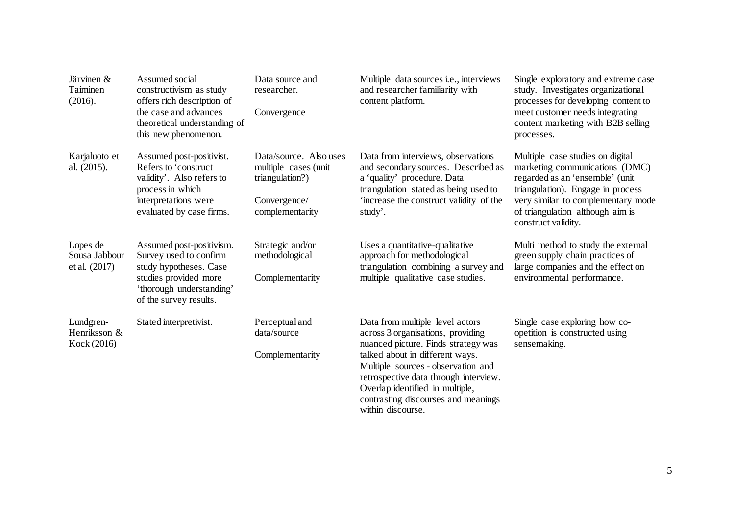| Järvinen &                               | Assumed social                                                                                                           | Data source and                                | Multiple data sources i.e., interviews                                                                      | Single exploratory and extreme case                                                 |
|------------------------------------------|--------------------------------------------------------------------------------------------------------------------------|------------------------------------------------|-------------------------------------------------------------------------------------------------------------|-------------------------------------------------------------------------------------|
| Taiminen<br>(2016).                      | constructivism as study<br>offers rich description of                                                                    | researcher.                                    | and researcher familiarity with<br>content platform.                                                        | study. Investigates organizational<br>processes for developing content to           |
|                                          | the case and advances<br>theoretical understanding of<br>this new phenomenon.                                            | Convergence                                    |                                                                                                             | meet customer needs integrating<br>content marketing with B2B selling<br>processes. |
| Karjaluoto et<br>al. (2015).             | Assumed post-positivist.<br>Refers to 'construct                                                                         | Data/source. Also uses<br>multiple cases (unit | Data from interviews, observations<br>and secondary sources. Described as                                   | Multiple case studies on digital<br>marketing communications (DMC)                  |
|                                          | validity'. Also refers to<br>process in which                                                                            | triangulation?)                                | a 'quality' procedure. Data<br>triangulation stated as being used to                                        | regarded as an 'ensemble' (unit<br>triangulation). Engage in process                |
|                                          | interpretations were                                                                                                     | Convergence/                                   | 'increase the construct validity of the                                                                     | very similar to complementary mode                                                  |
|                                          | evaluated by case firms.                                                                                                 | complementarity                                | study'.                                                                                                     | of triangulation although aim is<br>construct validity.                             |
| Lopes de<br>Sousa Jabbour                | Assumed post-positivism.<br>Survey used to confirm                                                                       | Strategic and/or<br>methodological             | Uses a quantitative-qualitative<br>approach for methodological                                              | Multi method to study the external<br>green supply chain practices of               |
| et al. (2017)                            | study hypotheses. Case<br>studies provided more<br>Complementarity<br>'thorough understanding'<br>of the survey results. |                                                | triangulation combining a survey and                                                                        | large companies and the effect on                                                   |
|                                          |                                                                                                                          | multiple qualitative case studies.             | environmental performance.                                                                                  |                                                                                     |
| Lundgren-<br>Henriksson &<br>Kock (2016) | Stated interpretivist.                                                                                                   | Perceptual and<br>data/source                  | Data from multiple level actors<br>across 3 organisations, providing<br>nuanced picture. Finds strategy was | Single case exploring how co-<br>opetition is constructed using<br>sensemaking.     |
|                                          |                                                                                                                          | Complementarity                                | talked about in different ways.                                                                             |                                                                                     |
|                                          |                                                                                                                          |                                                | Multiple sources - observation and<br>retrospective data through interview.                                 |                                                                                     |
|                                          |                                                                                                                          |                                                | Overlap identified in multiple,                                                                             |                                                                                     |
|                                          |                                                                                                                          |                                                | contrasting discourses and meanings                                                                         |                                                                                     |
|                                          |                                                                                                                          |                                                | within discourse.                                                                                           |                                                                                     |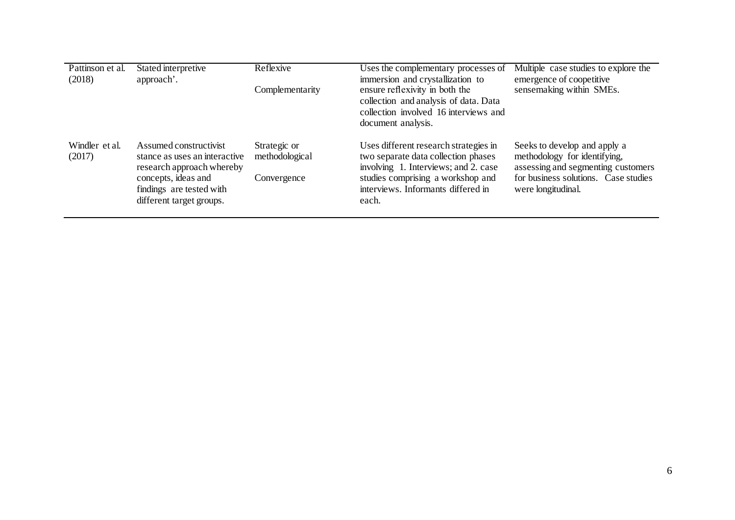| Pattinson et al.<br>(2018) | Stated interpretive<br>approach'.                                                    | Reflexive                      | Uses the complementary processes of<br>immersion and crystallization to                                              | Multiple case studies to explore the<br>emergence of coopetitive                                   |
|----------------------------|--------------------------------------------------------------------------------------|--------------------------------|----------------------------------------------------------------------------------------------------------------------|----------------------------------------------------------------------------------------------------|
|                            |                                                                                      | Complementarity                | ensure reflexivity in both the<br>collection and analysis of data. Data                                              | sensemaking within SMEs.                                                                           |
|                            |                                                                                      |                                | document analysis.                                                                                                   |                                                                                                    |
| Windler et al.<br>(2017)   | Assumed constructivist<br>stance as uses an interactive<br>research approach whereby | Strategic or<br>methodological | Uses different research strategies in<br>two separate data collection phases<br>involving 1. Interviews; and 2. case | Seeks to develop and apply a<br>methodology for identifying,<br>assessing and segmenting customers |
|                            | concepts, ideas and<br>findings are tested with<br>different target groups.          | Convergence                    | studies comprising a workshop and<br>interviews. Informants differed in<br>each.                                     | for business solutions. Case studies<br>were longitudinal.                                         |
|                            |                                                                                      |                                | collection involved 16 interviews and                                                                                |                                                                                                    |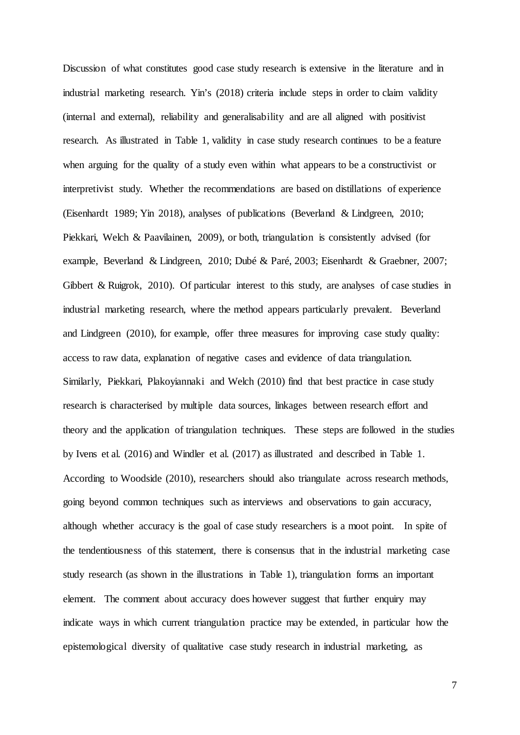Discussion of what constitutes good case study research is extensive in the literature and in industrial marketing research. Yin's (2018) criteria include steps in order to claim validity (internal and external), reliability and generalisability and are all aligned with positivist research. As illustrated in Table 1, validity in case study research continues to be a feature when arguing for the quality of a study even within what appears to be a constructivist or interpretivist study. Whether the recommendations are based on distillations of experience (Eisenhardt 1989; Yin 2018), analyses of publications (Beverland & Lindgreen, 2010; Piekkari, Welch & Paavilainen, 2009), or both, triangulation is consistently advised (for example, Beverland & Lindgreen, 2010; Dubé & Paré, 2003; Eisenhardt & Graebner, 2007; Gibbert & Ruigrok, 2010). Of particular interest to this study, are analyses of case studies in industrial marketing research, where the method appears particularly prevalent. Beverland and Lindgreen (2010), for example, offer three measures for improving case study quality: access to raw data, explanation of negative cases and evidence of data triangulation. Similarly, Piekkari, Plakoyiannaki and Welch (2010) find that best practice in case study research is characterised by multiple data sources, linkages between research effort and theory and the application of triangulation techniques. These steps are followed in the studies by Ivens et al. (2016) and Windler et al. (2017) as illustrated and described in Table 1. According to Woodside (2010), researchers should also triangulate across research methods, going beyond common techniques such as interviews and observations to gain accuracy, although whether accuracy is the goal of case study researchers is a moot point. In spite of the tendentiousness of this statement, there is consensus that in the industrial marketing case study research (as shown in the illustrations in Table 1), triangulation forms an important element. The comment about accuracy does however suggest that further enquiry may indicate ways in which current triangulation practice may be extended, in particular how the epistemological diversity of qualitative case study research in industrial marketing, as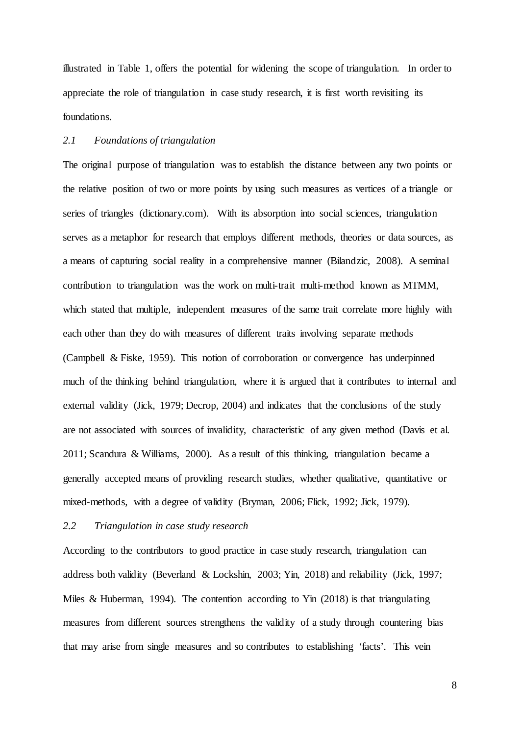illustrated in Table 1, offers the potential for widening the scope of triangulation. In order to appreciate the role of triangulation in case study research, it is first worth revisiting its foundations.

# *2.1 Foundations of triangulation*

The original purpose of triangulation was to establish the distance between any two points or the relative position of two or more points by using such measures as vertices of a triangle or series of triangles (dictionary.com). With its absorption into social sciences, triangulation serves as a metaphor for research that employs different methods, theories or data sources, as a means of capturing social reality in a comprehensive manner (Bilandzic, 2008). A seminal contribution to triangulation was the work on multi-trait multi-method known as MTMM, which stated that multiple, independent measures of the same trait correlate more highly with each other than they do with measures of different traits involving separate methods (Campbell & Fiske, 1959). This notion of corroboration or convergence has underpinned much of the thinking behind triangulation, where it is argued that it contributes to internal and external validity (Jick, 1979; Decrop, 2004) and indicates that the conclusions of the study are not associated with sources of invalidity, characteristic of any given method (Davis et al. 2011; Scandura & Williams, 2000). As a result of this thinking, triangulation became a generally accepted means of providing research studies, whether qualitative, quantitative or mixed-methods, with a degree of validity (Bryman, 2006; Flick, 1992; Jick, 1979).

# *2.2 Triangulation in case study research*

According to the contributors to good practice in case study research, triangulation can address both validity (Beverland & Lockshin, 2003; Yin, 2018) and reliability (Jick, 1997; Miles & Huberman, 1994). The contention according to Yin (2018) is that triangulating measures from different sources strengthens the validity of a study through countering bias that may arise from single measures and so contributes to establishing 'facts'. This vein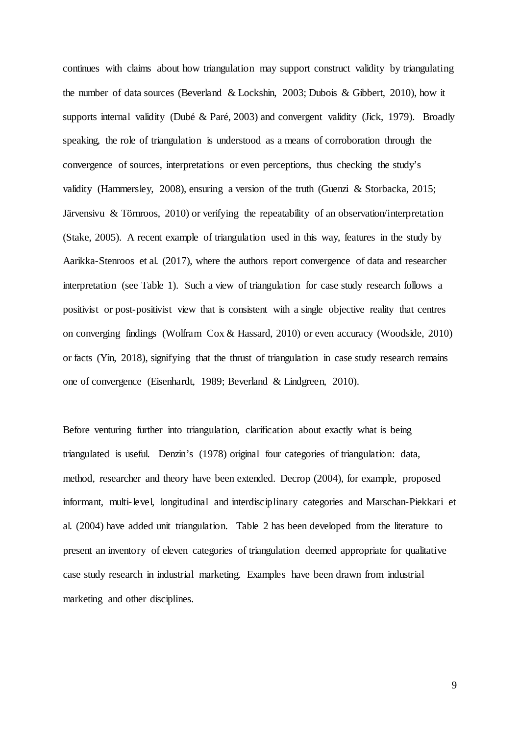continues with claims about how triangulation may support construct validity by triangulating the number of data sources (Beverland & Lockshin, 2003; Dubois & Gibbert, 2010), how it supports internal validity (Dubé & Paré, 2003) and convergent validity (Jick, 1979). Broadly speaking, the role of triangulation is understood as a means of corroboration through the convergence of sources, interpretations or even perceptions, thus checking the study's validity (Hammersley, 2008), ensuring a version of the truth (Guenzi & Storbacka, 2015; Järvensivu & Törnroos, 2010) or verifying the repeatability of an observation/interpretation (Stake, 2005). A recent example of triangulation used in this way, features in the study by Aarikka-Stenroos et al. (2017), where the authors report convergence of data and researcher interpretation (see Table 1). Such a view of triangulation for case study research follows a positivist or post-positivist view that is consistent with a single objective reality that centres on converging findings (Wolfram Cox & Hassard, 2010) or even accuracy (Woodside, 2010) or facts (Yin, 2018), signifying that the thrust of triangulation in case study research remains one of convergence (Eisenhardt, 1989; Beverland & Lindgreen, 2010).

Before venturing further into triangulation, clarification about exactly what is being triangulated is useful. Denzin's (1978) original four categories of triangulation: data, method, researcher and theory have been extended. Decrop (2004), for example, proposed informant, multi-level, longitudinal and interdisciplinary categories and Marschan-Piekkari et al. (2004) have added unit triangulation. Table 2 has been developed from the literature to present an inventory of eleven categories of triangulation deemed appropriate for qualitative case study research in industrial marketing. Examples have been drawn from industrial marketing and other disciplines.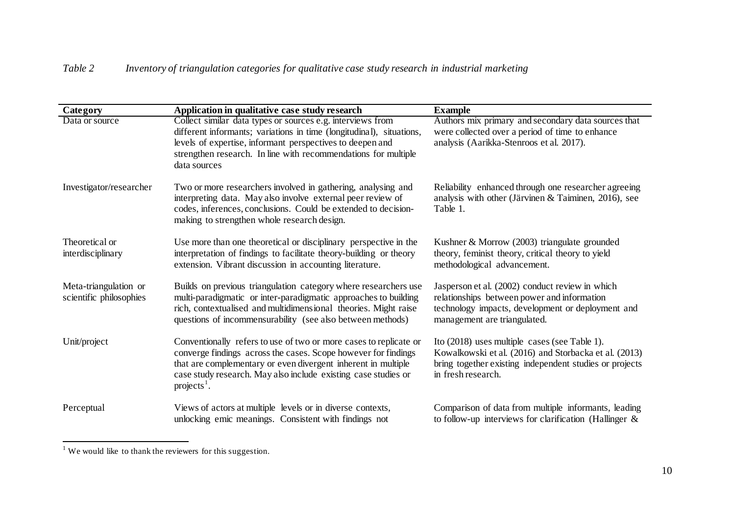<span id="page-10-0"></span>

| Category                                         | Application in qualitative case study research                                                                                                                                                                                                                                                    | <b>Example</b>                                                                                                                                                                          |
|--------------------------------------------------|---------------------------------------------------------------------------------------------------------------------------------------------------------------------------------------------------------------------------------------------------------------------------------------------------|-----------------------------------------------------------------------------------------------------------------------------------------------------------------------------------------|
| Data or source                                   | Collect similar data types or sources e.g. interviews from<br>different informants; variations in time (longitudinal), situations,<br>levels of expertise, informant perspectives to deepen and<br>strengthen research. In line with recommendations for multiple<br>data sources                 | Authors mix primary and secondary data sources that<br>were collected over a period of time to enhance<br>analysis (Aarikka-Stenroos et al. 2017).                                      |
| Investigator/researcher                          | Two or more researchers involved in gathering, analysing and<br>interpreting data. May also involve external peer review of<br>codes, inferences, conclusions. Could be extended to decision-<br>making to strengthen whole research design.                                                      | Reliability enhanced through one researcher agreeing<br>analysis with other (Järvinen & Taiminen, 2016), see<br>Table 1.                                                                |
| Theoretical or<br>interdisciplinary              | Use more than one theoretical or disciplinary perspective in the<br>interpretation of findings to facilitate theory-building or theory<br>extension. Vibrant discussion in accounting literature.                                                                                                 | Kushner & Morrow (2003) triangulate grounded<br>theory, feminist theory, critical theory to yield<br>methodological advancement.                                                        |
| Meta-triangulation or<br>scientific philosophies | Builds on previous triangulation category where researchers use<br>multi-paradigmatic or inter-paradigmatic approaches to building<br>rich, contextualised and multidimensional theories. Might raise<br>questions of incommensurability (see also between methods)                               | Jasperson et al. (2002) conduct review in which<br>relationships between power and information<br>technology impacts, development or deployment and<br>management are triangulated.     |
| Unit/project                                     | Conventionally refers to use of two or more cases to replicate or<br>converge findings across the cases. Scope however for findings<br>that are complementary or even divergent inherent in multiple<br>case study research. May also include existing case studies or<br>projects <sup>1</sup> . | Ito (2018) uses multiple cases (see Table 1).<br>Kowalkowski et al. (2016) and Storbacka et al. (2013)<br>bring together existing independent studies or projects<br>in fresh research. |
| Perceptual                                       | Views of actors at multiple levels or in diverse contexts,<br>unlocking emic meanings. Consistent with findings not                                                                                                                                                                               | Comparison of data from multiple informants, leading<br>to follow-up interviews for clarification (Hallinger &                                                                          |

 $\frac{1}{1}$  We would like to thank the reviewers for this suggestion.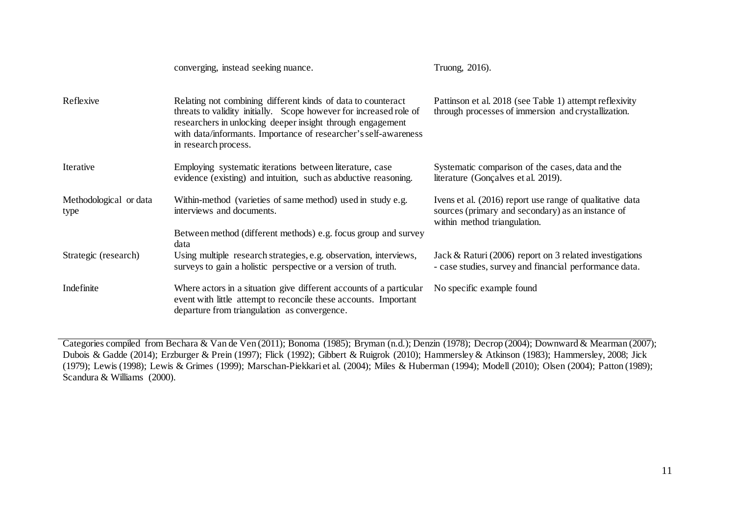|                                | converging, instead seeking nuance.                                                                                                                                                                                                                                                         | Truong, 2016).                                                                                                                                |
|--------------------------------|---------------------------------------------------------------------------------------------------------------------------------------------------------------------------------------------------------------------------------------------------------------------------------------------|-----------------------------------------------------------------------------------------------------------------------------------------------|
| Reflexive                      | Relating not combining different kinds of data to counteract<br>threats to validity initially. Scope however for increased role of<br>researchers in unlocking deeper insight through engagement<br>with data/informants. Importance of researcher's self-awareness<br>in research process. | Pattinson et al. 2018 (see Table 1) attempt reflexivity<br>through processes of immersion and crystallization.                                |
| Iterative                      | Employing systematic iterations between literature, case<br>evidence (existing) and intuition, such as abductive reasoning.                                                                                                                                                                 | Systematic comparison of the cases, data and the<br>literature (Gonçalves et al. 2019).                                                       |
| Methodological or data<br>type | Within-method (varieties of same method) used in study e.g.<br>interviews and documents.                                                                                                                                                                                                    | Ivens et al. (2016) report use range of qualitative data<br>sources (primary and secondary) as an instance of<br>within method triangulation. |
|                                | Between method (different methods) e.g. focus group and survey<br>data                                                                                                                                                                                                                      |                                                                                                                                               |
| Strategic (research)           | Using multiple research strategies, e.g. observation, interviews,<br>surveys to gain a holistic perspective or a version of truth.                                                                                                                                                          | Jack & Raturi (2006) report on 3 related investigations<br>- case studies, survey and financial performance data.                             |
| Indefinite                     | Where actors in a situation give different accounts of a particular<br>event with little attempt to reconcile these accounts. Important<br>departure from triangulation as convergence.                                                                                                     | No specific example found                                                                                                                     |

Categories compiled from Bechara & Van de Ven (2011); Bonoma (1985); Bryman (n.d.); Denzin (1978); Decrop (2004); Downward & Mearman (2007); Dubois & Gadde (2014); Erzburger & Prein (1997); Flick (1992); Gibbert & Ruigrok (2010); Hammersley & Atkinson (1983); Hammersley, 2008; Jick (1979); Lewis (1998); Lewis & Grimes (1999); Marschan-Piekkari et al. (2004); Miles & Huberman (1994); Modell (2010); Olsen (2004); Patton (1989); Scandura & Williams (2000).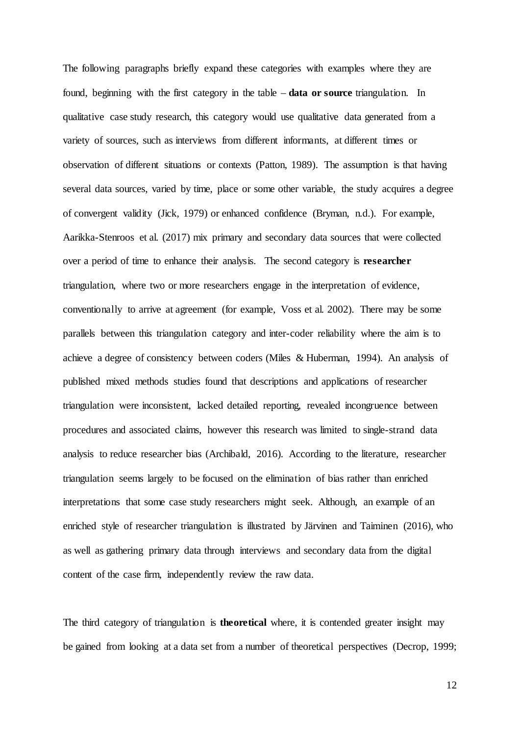The following paragraphs briefly expand these categories with examples where they are found, beginning with the first category in the table – **data or source** triangulation. In qualitative case study research, this category would use qualitative data generated from a variety of sources, such as interviews from different informants, at different times or observation of different situations or contexts (Patton, 1989). The assumption is that having several data sources, varied by time, place or some other variable, the study acquires a degree of convergent validity (Jick, 1979) or enhanced confidence (Bryman, n.d.). For example, Aarikka-Stenroos et al. (2017) mix primary and secondary data sources that were collected over a period of time to enhance their analysis. The second category is **researcher** triangulation, where two or more researchers engage in the interpretation of evidence, conventionally to arrive at agreement (for example, Voss et al. 2002). There may be some parallels between this triangulation category and inter-coder reliability where the aim is to achieve a degree of consistency between coders (Miles & Huberman, 1994). An analysis of published mixed methods studies found that descriptions and applications of researcher triangulation were inconsistent, lacked detailed reporting, revealed incongruence between procedures and associated claims, however this research was limited to single-strand data analysis to reduce researcher bias (Archibald, 2016). According to the literature, researcher triangulation seems largely to be focused on the elimination of bias rather than enriched interpretations that some case study researchers might seek. Although, an example of an enriched style of researcher triangulation is illustrated by Järvinen and Taiminen (2016), who as well as gathering primary data through interviews and secondary data from the digital content of the case firm, independently review the raw data.

The third category of triangulation is **theoretical** where, it is contended greater insight may be gained from looking at a data set from a number of theoretical perspectives (Decrop, 1999;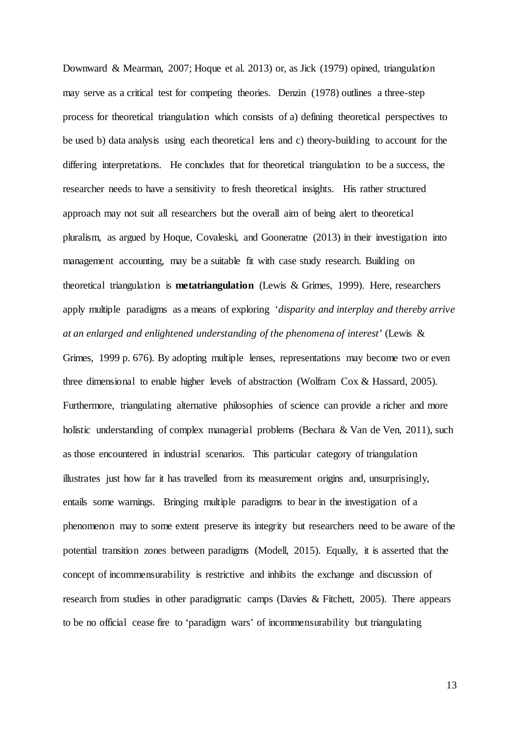Downward & Mearman, 2007; Hoque et al. 2013) or, as Jick (1979) opined, triangulation may serve as a critical test for competing theories. Denzin (1978) outlines a three-step process for theoretical triangulation which consists of a) defining theoretical perspectives to be used b) data analysis using each theoretical lens and c) theory-building to account for the differing interpretations. He concludes that for theoretical triangulation to be a success, the researcher needs to have a sensitivity to fresh theoretical insights. His rather structured approach may not suit all researchers but the overall aim of being alert to theoretical pluralism, as argued by Hoque, Covaleski, and Gooneratne (2013) in their investigation into management accounting, may be a suitable fit with case study research. Building on theoretical triangulation is **metatriangulation** (Lewis & Grimes, 1999). Here, researchers apply multiple paradigms as a means of exploring '*disparity and interplay and thereby arrive at an enlarged and enlightened understanding of the phenomena of interest*' (Lewis & Grimes, 1999 p. 676). By adopting multiple lenses, representations may become two or even three dimensional to enable higher levels of abstraction (Wolfram Cox & Hassard, 2005). Furthermore, triangulating alternative philosophies of science can provide a richer and more holistic understanding of complex managerial problems (Bechara & Van de Ven, 2011), such as those encountered in industrial scenarios. This particular category of triangulation illustrates just how far it has travelled from its measurement origins and, unsurprisingly, entails some warnings. Bringing multiple paradigms to bear in the investigation of a phenomenon may to some extent preserve its integrity but researchers need to be aware of the potential transition zones between paradigms (Modell, 2015). Equally, it is asserted that the concept of incommensurability is restrictive and inhibits the exchange and discussion of research from studies in other paradigmatic camps (Davies & Fitchett, 2005). There appears to be no official cease fire to 'paradigm wars' of incommensurability but triangulating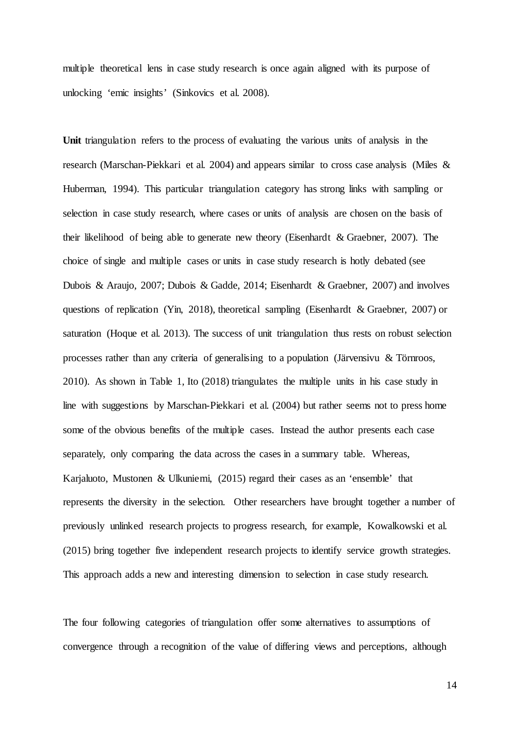multiple theoretical lens in case study research is once again aligned with its purpose of unlocking 'emic insights' (Sinkovics et al. 2008).

**Unit** triangulation refers to the process of evaluating the various units of analysis in the research (Marschan-Piekkari et al. 2004) and appears similar to cross case analysis (Miles & Huberman, 1994). This particular triangulation category has strong links with sampling or selection in case study research, where cases or units of analysis are chosen on the basis of their likelihood of being able to generate new theory (Eisenhardt & Graebner, 2007). The choice of single and multiple cases or units in case study research is hotly debated (see Dubois & Araujo, 2007; Dubois & Gadde, 2014; Eisenhardt & Graebner, 2007) and involves questions of replication (Yin, 2018), theoretical sampling (Eisenhardt & Graebner, 2007) or saturation (Hoque et al. 2013). The success of unit triangulation thus rests on robust selection processes rather than any criteria of generalising to a population (Järvensivu & Törnroos, 2010). As shown in Table 1, Ito (2018) triangulates the multiple units in his case study in line with suggestions by Marschan-Piekkari et al. (2004) but rather seems not to press home some of the obvious benefits of the multiple cases. Instead the author presents each case separately, only comparing the data across the cases in a summary table. Whereas, Karjaluoto, Mustonen & Ulkuniemi, (2015) regard their cases as an 'ensemble' that represents the diversity in the selection. Other researchers have brought together a number of previously unlinked research projects to progress research, for example, Kowalkowski et al. (2015) bring together five independent research projects to identify service growth strategies. This approach adds a new and interesting dimension to selection in case study research.

The four following categories of triangulation offer some alternatives to assumptions of convergence through a recognition of the value of differing views and perceptions, although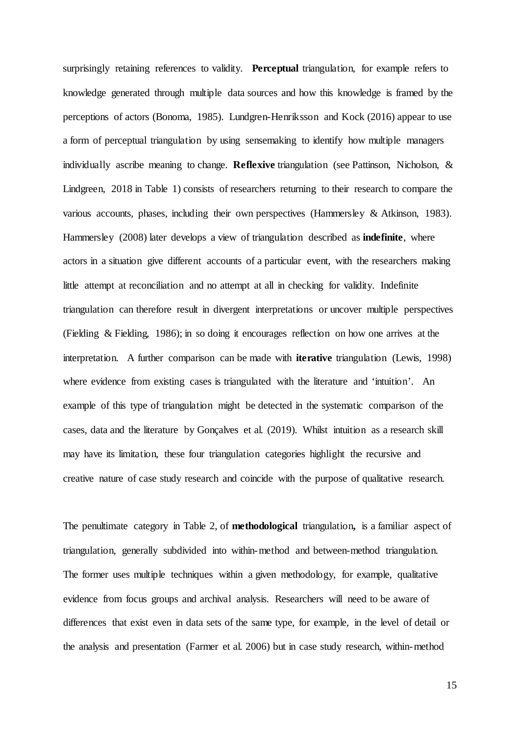surprisingly retaining references to validity. **Perceptual** triangulation, for example refers to knowledge generated through multiple data sources and how this knowledge is framed by the perceptions of actors (Bonoma, 1985). Lundgren-Henriksson and Kock (2016) appear to use a form of perceptual triangulation by using sensemaking to identify how multiple managers individually ascribe meaning to change. **Reflexive** triangulation (see Pattinson, Nicholson, & Lindgreen, 2018 in Table 1) consists of researchers returning to their research to compare the various accounts, phases, including their own perspectives (Hammersley & Atkinson, 1983). Hammersley (2008) later develops a view of triangulation described as **indefinite**, where actors in a situation give different accounts of a particular event, with the researchers making little attempt at reconciliation and no attempt at all in checking for validity. Indefinite triangulation can therefore result in divergent interpretations or uncover multiple perspectives (Fielding & Fielding, 1986); in so doing it encourages reflection on how one arrives at the interpretation. A further comparison can be made with **iterative** triangulation (Lewis, 1998) where evidence from existing cases is triangulated with the literature and 'intuition'. An example of this type of triangulation might be detected in the systematic comparison of the cases, data and the literature by Gonçalves et al. (2019). Whilst intuition as a research skill may have its limitation, these four triangulation categories highlight the recursive and creative nature of case study research and coincide with the purpose of qualitative research.

The penultimate category in Table 2, of **methodological** triangulation**,** is a familiar aspect of triangulation, generally subdivided into within-method and between-method triangulation. The former uses multiple techniques within a given methodology, for example, qualitative evidence from focus groups and archival analysis. Researchers will need to be aware of differences that exist even in data sets of the same type, for example, in the level of detail or the analysis and presentation (Farmer et al. 2006) but in case study research, within-method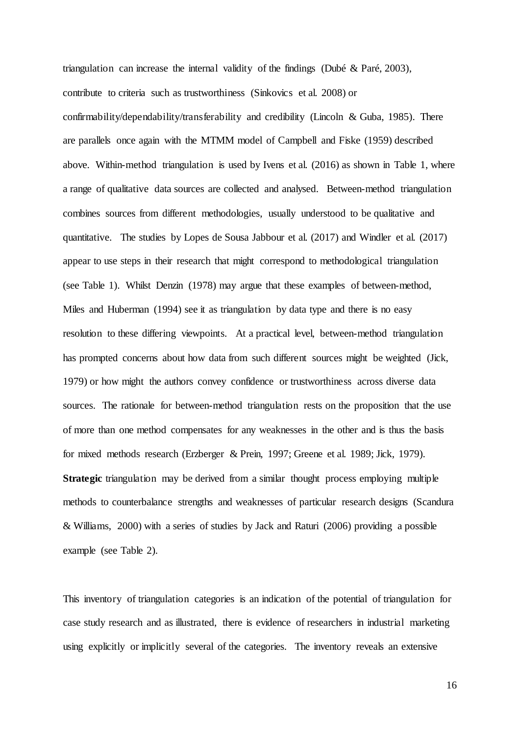triangulation can increase the internal validity of the findings (Dubé & Paré, 2003), contribute to criteria such as trustworthiness (Sinkovics et al. 2008) or confirmability/dependability/transferability and credibility (Lincoln & Guba, 1985). There are parallels once again with the MTMM model of Campbell and Fiske (1959) described above. Within-method triangulation is used by Ivens et al. (2016) as shown in Table 1, where a range of qualitative data sources are collected and analysed. Between-method triangulation combines sources from different methodologies, usually understood to be qualitative and quantitative. The studies by Lopes de Sousa Jabbour et al. (2017) and Windler et al. (2017) appear to use steps in their research that might correspond to methodological triangulation (see Table 1). Whilst Denzin (1978) may argue that these examples of between-method, Miles and Huberman (1994) see it as triangulation by data type and there is no easy resolution to these differing viewpoints. At a practical level, between-method triangulation has prompted concerns about how data from such different sources might be weighted (Jick, 1979) or how might the authors convey confidence or trustworthiness across diverse data sources. The rationale for between-method triangulation rests on the proposition that the use of more than one method compensates for any weaknesses in the other and is thus the basis for mixed methods research (Erzberger & Prein, 1997; Greene et al. 1989; Jick, 1979). **Strategic** triangulation may be derived from a similar thought process employing multiple methods to counterbalance strengths and weaknesses of particular research designs (Scandura & Williams, 2000) with a series of studies by Jack and Raturi (2006) providing a possible example (see Table 2).

This inventory of triangulation categories is an indication of the potential of triangulation for case study research and as illustrated, there is evidence of researchers in industrial marketing using explicitly or implicitly several of the categories. The inventory reveals an extensive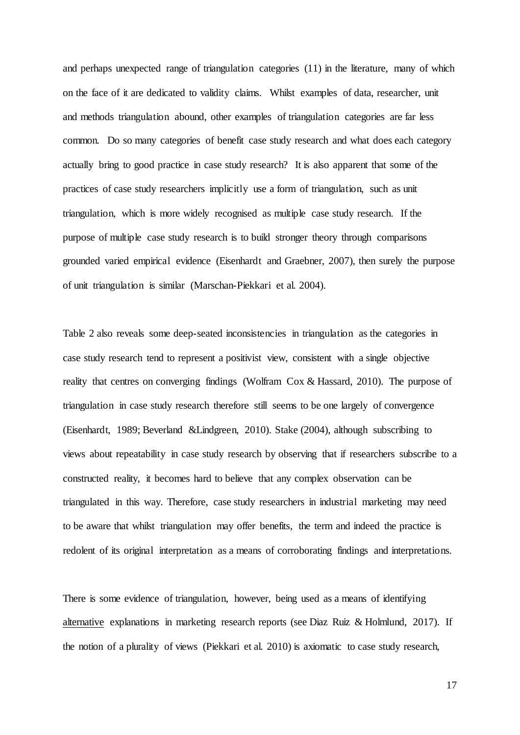and perhaps unexpected range of triangulation categories (11) in the literature, many of which on the face of it are dedicated to validity claims. Whilst examples of data, researcher, unit and methods triangulation abound, other examples of triangulation categories are far less common. Do so many categories of benefit case study research and what does each category actually bring to good practice in case study research? It is also apparent that some of the practices of case study researchers implicitly use a form of triangulation, such as unit triangulation, which is more widely recognised as multiple case study research. If the purpose of multiple case study research is to build stronger theory through comparisons grounded varied empirical evidence (Eisenhardt and Graebner, 2007), then surely the purpose of unit triangulation is similar (Marschan-Piekkari et al. 2004).

Table 2 also reveals some deep-seated inconsistencies in triangulation as the categories in case study research tend to represent a positivist view, consistent with a single objective reality that centres on converging findings (Wolfram Cox & Hassard, 2010). The purpose of triangulation in case study research therefore still seems to be one largely of convergence (Eisenhardt, 1989; Beverland &Lindgreen, 2010). Stake (2004), although subscribing to views about repeatability in case study research by observing that if researchers subscribe to a constructed reality, it becomes hard to believe that any complex observation can be triangulated in this way. Therefore, case study researchers in industrial marketing may need to be aware that whilst triangulation may offer benefits, the term and indeed the practice is redolent of its original interpretation as a means of corroborating findings and interpretations.

There is some evidence of triangulation, however, being used as a means of identifying alternative explanations in marketing research reports (see Diaz Ruiz & Holmlund, 2017). If the notion of a plurality of views (Piekkari et al. 2010) is axiomatic to case study research,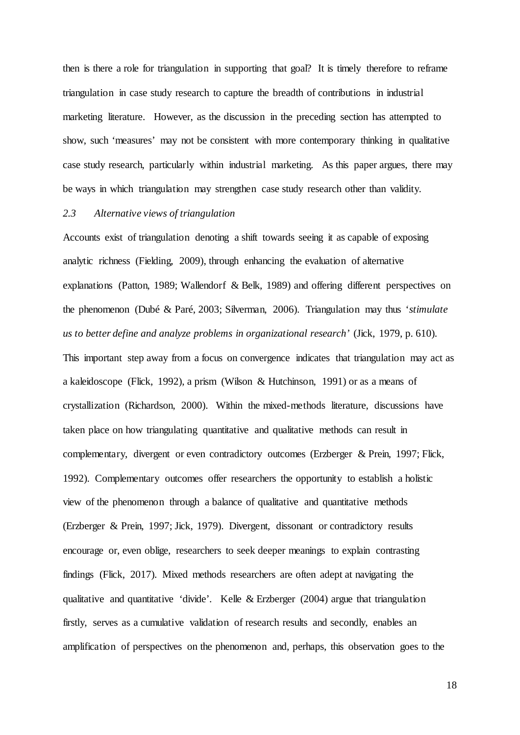then is there a role for triangulation in supporting that goal? It is timely therefore to reframe triangulation in case study research to capture the breadth of contributions in industrial marketing literature. However, as the discussion in the preceding section has attempted to show, such 'measures' may not be consistent with more contemporary thinking in qualitative case study research, particularly within industrial marketing. As this paper argues, there may be ways in which triangulation may strengthen case study research other than validity.

#### *2.3 Alternative views of triangulation*

Accounts exist of triangulation denoting a shift towards seeing it as capable of exposing analytic richness (Fielding, 2009), through enhancing the evaluation of alternative explanations (Patton, 1989; Wallendorf & Belk, 1989) and offering different perspectives on the phenomenon (Dubé & Paré, 2003; Silverman, 2006). Triangulation may thus '*stimulate us to better define and analyze problems in organizational research'* (Jick, 1979, p. 610).

This important step away from a focus on convergence indicates that triangulation may act as a kaleidoscope (Flick, 1992), a prism (Wilson & Hutchinson, 1991) or as a means of crystallization (Richardson, 2000). Within the mixed-methods literature, discussions have taken place on how triangulating quantitative and qualitative methods can result in complementary, divergent or even contradictory outcomes (Erzberger & Prein, 1997; Flick, 1992). Complementary outcomes offer researchers the opportunity to establish a holistic view of the phenomenon through a balance of qualitative and quantitative methods (Erzberger & Prein, 1997; Jick, 1979). Divergent, dissonant or contradictory results encourage or, even oblige, researchers to seek deeper meanings to explain contrasting findings (Flick, 2017). Mixed methods researchers are often adept at navigating the qualitative and quantitative 'divide'. Kelle & Erzberger (2004) argue that triangulation firstly, serves as a cumulative validation of research results and secondly, enables an amplification of perspectives on the phenomenon and, perhaps, this observation goes to the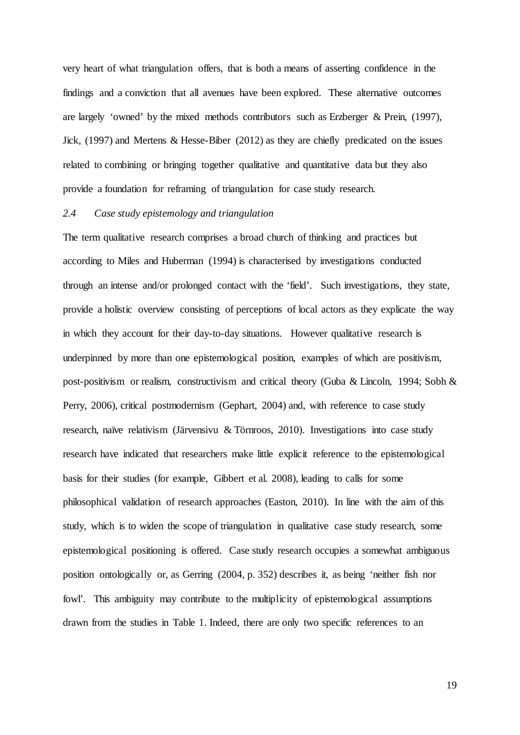very heart of what triangulation offers, that is both a means of asserting confidence in the findings and a conviction that all avenues have been explored. These alternative outcomes are largely 'owned' by the mixed methods contributors such as Erzberger & Prein, (1997), Jick, (1997) and Mertens & Hesse-Biber (2012) as they are chiefly predicated on the issues related to combining or bringing together qualitative and quantitative data but they also provide a foundation for reframing of triangulation for case study research.

#### *2.4 Case study epistemology and triangulation*

The term qualitative research comprises a broad church of thinking and practices but according to Miles and Huberman (1994) is characterised by investigations conducted through an intense and/or prolonged contact with the 'field'. Such investigations, they state, provide a holistic overview consisting of perceptions of local actors as they explicate the way in which they account for their day-to-day situations. However qualitative research is underpinned by more than one epistemological position, examples of which are positivism, post-positivism or realism, constructivism and critical theory (Guba & Lincoln, 1994; Sobh & Perry, 2006), critical postmodernism (Gephart, 2004) and, with reference to case study research, naïve relativism (Järvensivu & Törnroos, 2010). Investigations into case study research have indicated that researchers make little explicit reference to the epistemological basis for their studies (for example, Gibbert et al. 2008), leading to calls for some philosophical validation of research approaches (Easton, 2010). In line with the aim of this study, which is to widen the scope of triangulation in qualitative case study research, some epistemological positioning is offered. Case study research occupies a somewhat ambiguous position ontologically or, as Gerring (2004, p. 352) describes it, as being 'neither fish nor fowl'. This ambiguity may contribute to the multiplicity of epistemological assumptions drawn from the studies in Table 1. Indeed, there are only two specific references to an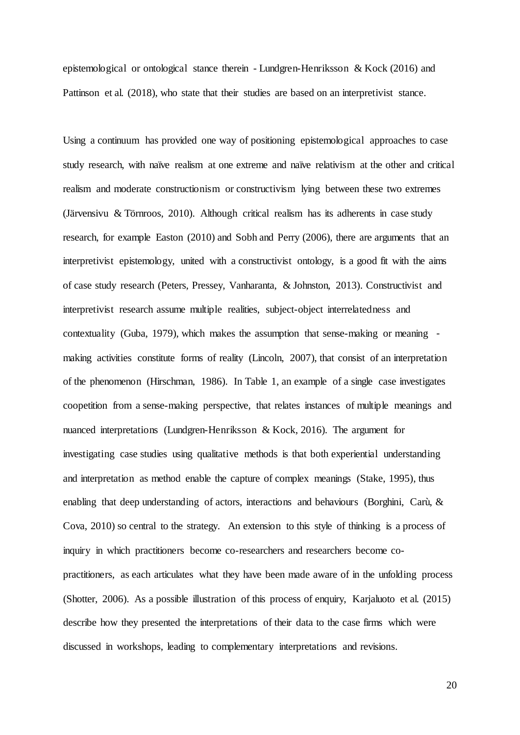epistemological or ontological stance therein - Lundgren-Henriksson & Kock (2016) and Pattinson et al. (2018), who state that their studies are based on an interpretivist stance.

Using a continuum has provided one way of positioning epistemological approaches to case study research, with naïve realism at one extreme and naïve relativism at the other and critical realism and moderate constructionism or constructivism lying between these two extremes (Järvensivu & Törnroos, 2010). Although critical realism has its adherents in case study research, for example Easton (2010) and Sobh and Perry (2006), there are arguments that an interpretivist epistemology, united with a constructivist ontology, is a good fit with the aims of case study research (Peters, Pressey, Vanharanta, & Johnston, 2013). Constructivist and interpretivist research assume multiple realities, subject-object interrelatedness and contextuality (Guba, 1979), which makes the assumption that sense-making or meaning ‐ making activities constitute forms of reality (Lincoln, 2007), that consist of an interpretation of the phenomenon (Hirschman, 1986). In Table 1, an example of a single case investigates coopetition from a sense-making perspective, that relates instances of multiple meanings and nuanced interpretations (Lundgren-Henriksson & Kock, 2016). The argument for investigating case studies using qualitative methods is that both experiential understanding and interpretation as method enable the capture of complex meanings (Stake, 1995), thus enabling that deep understanding of actors, interactions and behaviours (Borghini, Carù, & Cova, 2010) so central to the strategy. An extension to this style of thinking is a process of inquiry in which practitioners become co-researchers and researchers become copractitioners, as each articulates what they have been made aware of in the unfolding process (Shotter, 2006). As a possible illustration of this process of enquiry, Karjaluoto et al. (2015) describe how they presented the interpretations of their data to the case firms which were discussed in workshops, leading to complementary interpretations and revisions.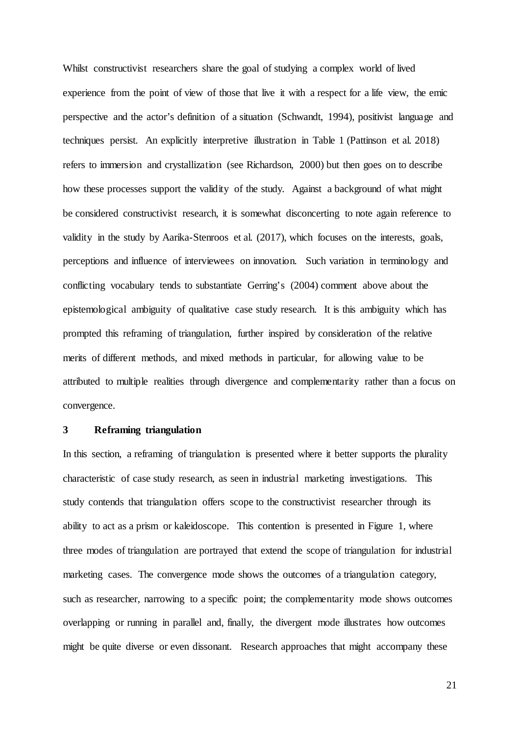Whilst constructivist researchers share the goal of studying a complex world of lived experience from the point of view of those that live it with a respect for a life view, the emic perspective and the actor's definition of a situation (Schwandt, 1994), positivist language and techniques persist. An explicitly interpretive illustration in Table 1 (Pattinson et al. 2018) refers to immersion and crystallization (see Richardson, 2000) but then goes on to describe how these processes support the validity of the study. Against a background of what might be considered constructivist research, it is somewhat disconcerting to note again reference to validity in the study by Aarika-Stenroos et al. (2017), which focuses on the interests, goals, perceptions and influence of interviewees on innovation. Such variation in terminology and conflicting vocabulary tends to substantiate Gerring's (2004) comment above about the epistemological ambiguity of qualitative case study research. It is this ambiguity which has prompted this reframing of triangulation, further inspired by consideration of the relative merits of different methods, and mixed methods in particular, for allowing value to be attributed to multiple realities through divergence and complementarity rather than a focus on convergence.

#### **3 Reframing triangulation**

In this section, a reframing of triangulation is presented where it better supports the plurality characteristic of case study research, as seen in industrial marketing investigations. This study contends that triangulation offers scope to the constructivist researcher through its ability to act as a prism or kaleidoscope. This contention is presented in Figure 1, where three modes of triangulation are portrayed that extend the scope of triangulation for industrial marketing cases. The convergence mode shows the outcomes of a triangulation category, such as researcher, narrowing to a specific point; the complementarity mode shows outcomes overlapping or running in parallel and, finally, the divergent mode illustrates how outcomes might be quite diverse or even dissonant. Research approaches that might accompany these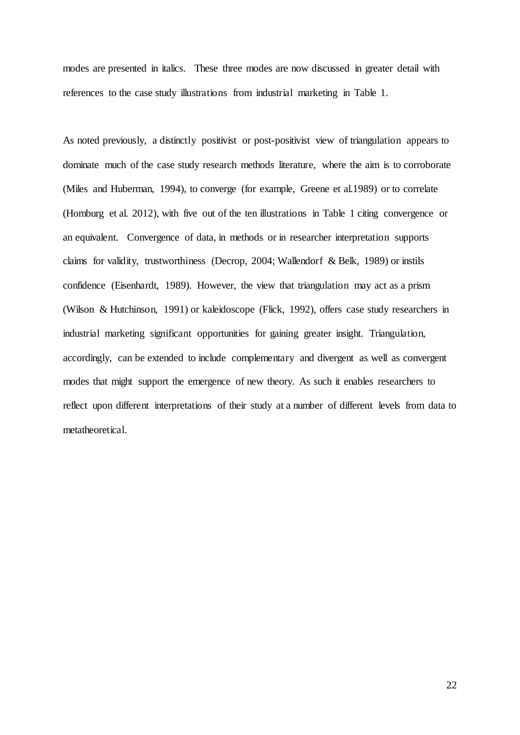modes are presented in italics. These three modes are now discussed in greater detail with references to the case study illustrations from industrial marketing in Table 1.

As noted previously, a distinctly positivist or post-positivist view of triangulation appears to dominate much of the case study research methods literature, where the aim is to corroborate (Miles and Huberman, 1994), to converge (for example, Greene et al.1989) or to correlate (Homburg et al. 2012), with five out of the ten illustrations in Table 1 citing convergence or an equivalent. Convergence of data, in methods or in researcher interpretation supports claims for validity, trustworthiness (Decrop, 2004; Wallendorf & Belk, 1989) or instils confidence (Eisenhardt, 1989). However, the view that triangulation may act as a prism (Wilson & Hutchinson, 1991) or kaleidoscope (Flick, 1992), offers case study researchers in industrial marketing significant opportunities for gaining greater insight. Triangulation, accordingly, can be extended to include complementary and divergent as well as convergent modes that might support the emergence of new theory. As such it enables researchers to reflect upon different interpretations of their study at a number of different levels from data to metatheoretical.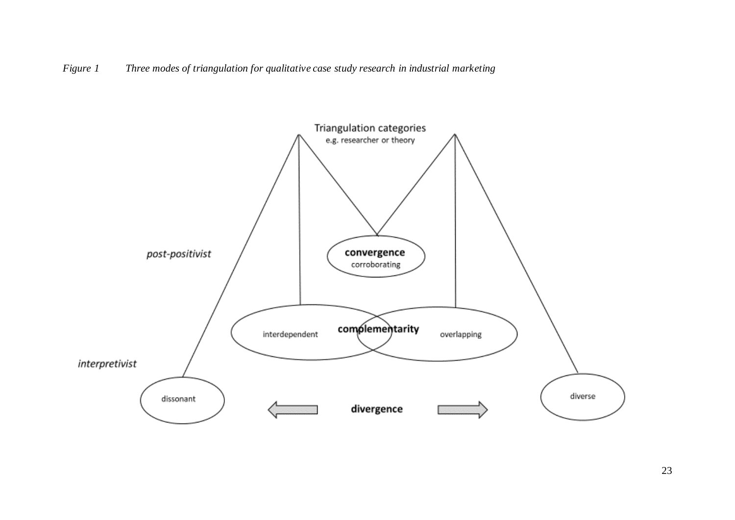*Figure 1 Three modes of triangulation for qualitative case study research in industrial marketing*

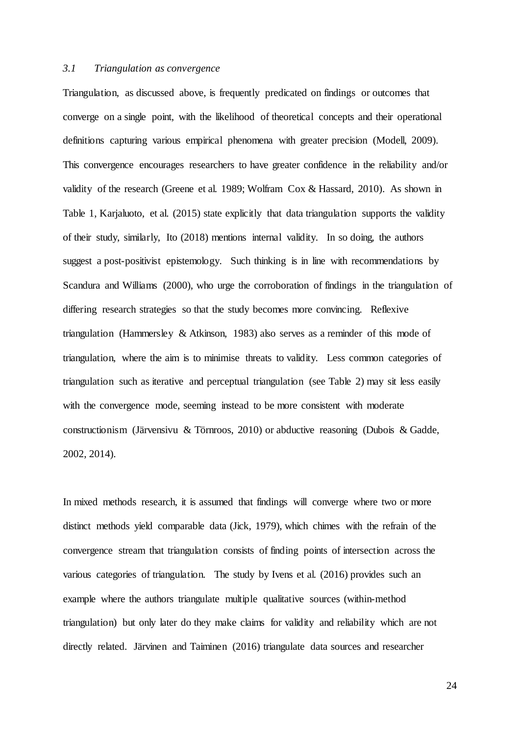#### *3.1 Triangulation as convergence*

Triangulation, as discussed above, is frequently predicated on findings or outcomes that converge on a single point, with the likelihood of theoretical concepts and their operational definitions capturing various empirical phenomena with greater precision (Modell, 2009). This convergence encourages researchers to have greater confidence in the reliability and/or validity of the research (Greene et al. 1989; Wolfram Cox & Hassard, 2010). As shown in Table 1, Karjaluoto, et al. (2015) state explicitly that data triangulation supports the validity of their study, similarly, Ito (2018) mentions internal validity. In so doing, the authors suggest a post-positivist epistemology. Such thinking is in line with recommendations by Scandura and Williams (2000), who urge the corroboration of findings in the triangulation of differing research strategies so that the study becomes more convincing. Reflexive triangulation (Hammersley & Atkinson, 1983) also serves as a reminder of this mode of triangulation, where the aim is to minimise threats to validity. Less common categories of triangulation such as iterative and perceptual triangulation (see Table 2) may sit less easily with the convergence mode, seeming instead to be more consistent with moderate constructionism (Järvensivu & Törnroos, 2010) or abductive reasoning (Dubois & Gadde, 2002, 2014).

In mixed methods research, it is assumed that findings will converge where two or more distinct methods yield comparable data (Jick, 1979), which chimes with the refrain of the convergence stream that triangulation consists of finding points of intersection across the various categories of triangulation. The study by Ivens et al. (2016) provides such an example where the authors triangulate multiple qualitative sources (within-method triangulation) but only later do they make claims for validity and reliability which are not directly related. Järvinen and Taiminen (2016) triangulate data sources and researcher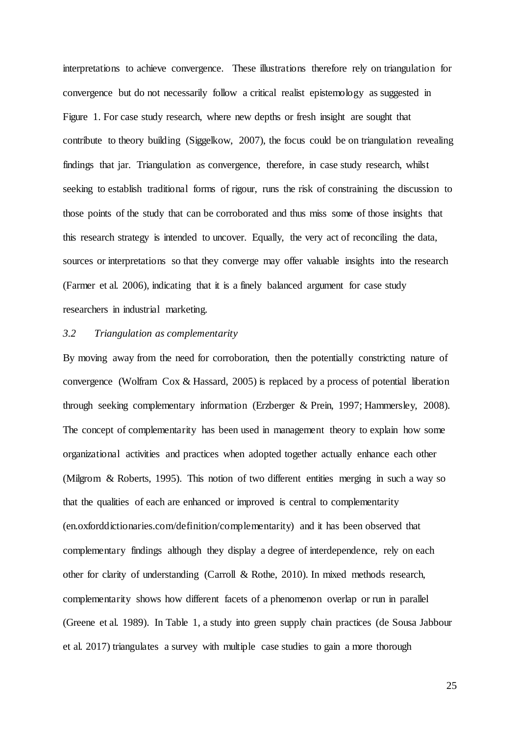interpretations to achieve convergence. These illustrations therefore rely on triangulation for convergence but do not necessarily follow a critical realist epistemology as suggested in Figure 1. For case study research, where new depths or fresh insight are sought that contribute to theory building (Siggelkow, 2007), the focus could be on triangulation revealing findings that jar. Triangulation as convergence, therefore, in case study research, whilst seeking to establish traditional forms of rigour, runs the risk of constraining the discussion to those points of the study that can be corroborated and thus miss some of those insights that this research strategy is intended to uncover. Equally, the very act of reconciling the data, sources or interpretations so that they converge may offer valuable insights into the research (Farmer et al. 2006), indicating that it is a finely balanced argument for case study researchers in industrial marketing.

# *3.2 Triangulation as complementarity*

By moving away from the need for corroboration, then the potentially constricting nature of convergence (Wolfram Cox & Hassard, 2005) is replaced by a process of potential liberation through seeking complementary information (Erzberger & Prein, 1997; Hammersley, 2008). The concept of complementarity has been used in management theory to explain how some organizational activities and practices when adopted together actually enhance each other (Milgrom & Roberts, 1995). This notion of two different entities merging in such a way so that the qualities of each are enhanced or improved is central to complementarity (en.oxforddictionaries.com/definition/complementarity) and it has been observed that complementary findings although they display a degree of interdependence, rely on each other for clarity of understanding (Carroll & Rothe, 2010). In mixed methods research, complementarity shows how different facets of a phenomenon overlap or run in parallel (Greene et al. 1989). In Table 1, a study into green supply chain practices (de Sousa Jabbour et al. 2017) triangulates a survey with multiple case studies to gain a more thorough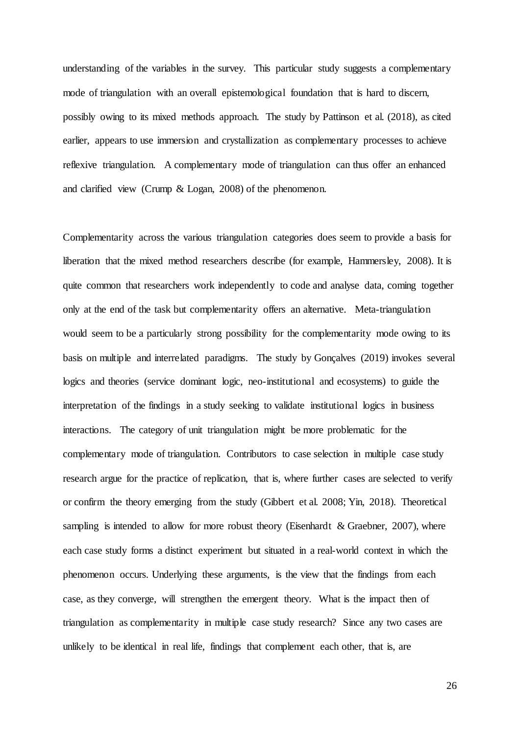understanding of the variables in the survey. This particular study suggests a complementary mode of triangulation with an overall epistemological foundation that is hard to discern, possibly owing to its mixed methods approach. The study by Pattinson et al. (2018), as cited earlier, appears to use immersion and crystallization as complementary processes to achieve reflexive triangulation. A complementary mode of triangulation can thus offer an enhanced and clarified view (Crump & Logan, 2008) of the phenomenon.

Complementarity across the various triangulation categories does seem to provide a basis for liberation that the mixed method researchers describe (for example, Hammersley, 2008). It is quite common that researchers work independently to code and analyse data, coming together only at the end of the task but complementarity offers an alternative. Meta-triangulation would seem to be a particularly strong possibility for the complementarity mode owing to its basis on multiple and interrelated paradigms. The study by Gonçalves (2019) invokes several logics and theories (service dominant logic, neo-institutional and ecosystems) to guide the interpretation of the findings in a study seeking to validate institutional logics in business interactions. The category of unit triangulation might be more problematic for the complementary mode of triangulation. Contributors to case selection in multiple case study research argue for the practice of replication, that is, where further cases are selected to verify or confirm the theory emerging from the study (Gibbert et al. 2008; Yin, 2018). Theoretical sampling is intended to allow for more robust theory (Eisenhardt & Graebner, 2007), where each case study forms a distinct experiment but situated in a real-world context in which the phenomenon occurs. Underlying these arguments, is the view that the findings from each case, as they converge, will strengthen the emergent theory. What is the impact then of triangulation as complementarity in multiple case study research? Since any two cases are unlikely to be identical in real life, findings that complement each other, that is, are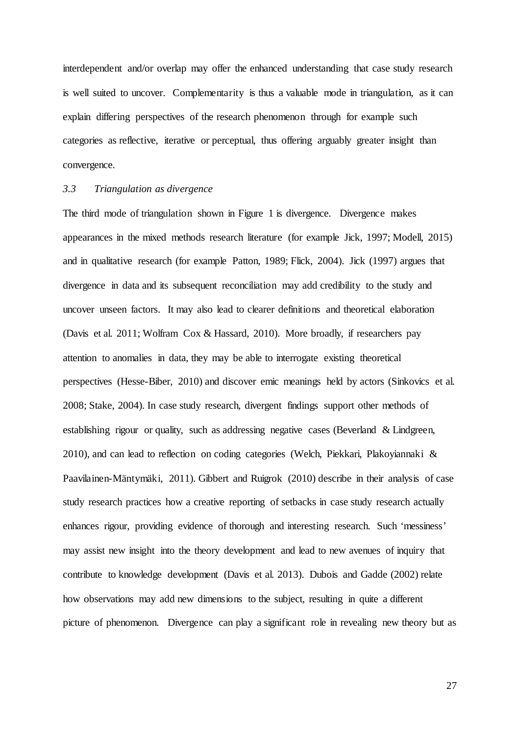interdependent and/or overlap may offer the enhanced understanding that case study research is well suited to uncover. Complementarity is thus a valuable mode in triangulation, as it can explain differing perspectives of the research phenomenon through for example such categories as reflective, iterative or perceptual, thus offering arguably greater insight than convergence.

#### *3.3 Triangulation as divergence*

The third mode of triangulation shown in Figure 1 is divergence. Divergence makes appearances in the mixed methods research literature (for example Jick, 1997; Modell, 2015) and in qualitative research (for example Patton, 1989; Flick, 2004). Jick (1997) argues that divergence in data and its subsequent reconciliation may add credibility to the study and uncover unseen factors. It may also lead to clearer definitions and theoretical elaboration (Davis et al. 2011; Wolfram Cox & Hassard, 2010). More broadly, if researchers pay attention to anomalies in data, they may be able to interrogate existing theoretical perspectives (Hesse-Biber, 2010) and discover emic meanings held by actors (Sinkovics et al. 2008; Stake, 2004). In case study research, divergent findings support other methods of establishing rigour or quality, such as addressing negative cases (Beverland & Lindgreen, 2010), and can lead to reflection on coding categories (Welch, Piekkari, Plakoyiannaki & Paavilainen-Mäntymäki, 2011). Gibbert and Ruigrok (2010) describe in their analysis of case study research practices how a creative reporting of setbacks in case study research actually enhances rigour, providing evidence of thorough and interesting research. Such 'messiness' may assist new insight into the theory development and lead to new avenues of inquiry that contribute to knowledge development (Davis et al. 2013). Dubois and Gadde (2002) relate how observations may add new dimensions to the subject, resulting in quite a different picture of phenomenon. Divergence can play a significant role in revealing new theory but as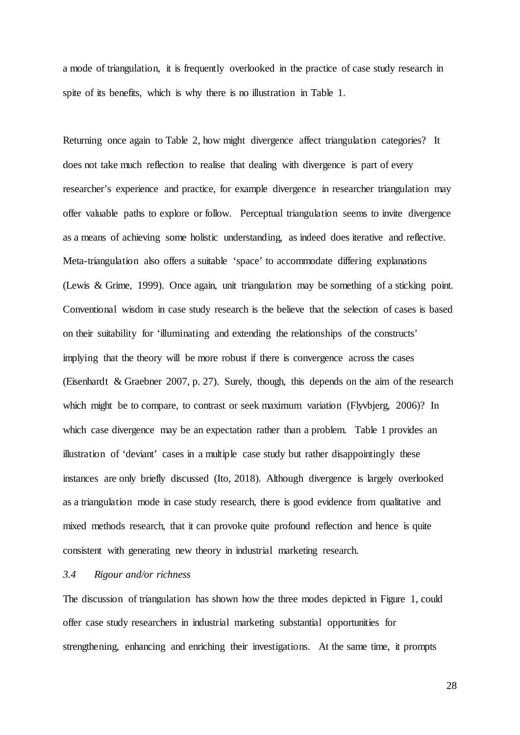a mode of triangulation, it is frequently overlooked in the practice of case study research in spite of its benefits, which is why there is no illustration in Table 1.

Returning once again to Table 2, how might divergence affect triangulation categories? It does not take much reflection to realise that dealing with divergence is part of every researcher's experience and practice, for example divergence in researcher triangulation may offer valuable paths to explore or follow. Perceptual triangulation seems to invite divergence as a means of achieving some holistic understanding, as indeed does iterative and reflective. Meta-triangulation also offers a suitable 'space' to accommodate differing explanations (Lewis & Grime, 1999). Once again, unit triangulation may be something of a sticking point. Conventional wisdom in case study research is the believe that the selection of cases is based on their suitability for 'illuminating and extending the relationships of the constructs' implying that the theory will be more robust if there is convergence across the cases (Eisenhardt & Graebner 2007, p. 27). Surely, though, this depends on the aim of the research which might be to compare, to contrast or seek maximum variation (Flyvbjerg, 2006)? In which case divergence may be an expectation rather than a problem. Table 1 provides an illustration of 'deviant' cases in a multiple case study but rather disappointingly these instances are only briefly discussed (Ito, 2018). Although divergence is largely overlooked as a triangulation mode in case study research, there is good evidence from qualitative and mixed methods research, that it can provoke quite profound reflection and hence is quite consistent with generating new theory in industrial marketing research.

# *3.4 Rigour and/or richness*

The discussion of triangulation has shown how the three modes depicted in Figure 1, could offer case study researchers in industrial marketing substantial opportunities for strengthening, enhancing and enriching their investigations. At the same time, it prompts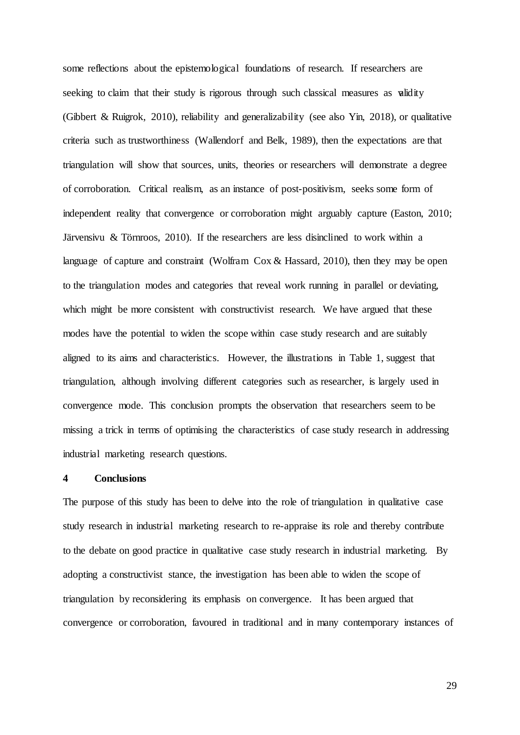some reflections about the epistemological foundations of research. If researchers are seeking to claim that their study is rigorous through such classical measures as validity (Gibbert & Ruigrok, 2010), reliability and generalizability (see also Yin, 2018), or qualitative criteria such as trustworthiness (Wallendorf and Belk, 1989), then the expectations are that triangulation will show that sources, units, theories or researchers will demonstrate a degree of corroboration. Critical realism, as an instance of post-positivism, seeks some form of independent reality that convergence or corroboration might arguably capture (Easton, 2010; Järvensivu & Törnroos, 2010). If the researchers are less disinclined to work within a language of capture and constraint (Wolfram Cox & Hassard, 2010), then they may be open to the triangulation modes and categories that reveal work running in parallel or deviating, which might be more consistent with constructivist research. We have argued that these modes have the potential to widen the scope within case study research and are suitably aligned to its aims and characteristics. However, the illustrations in Table 1, suggest that triangulation, although involving different categories such as researcher, is largely used in convergence mode. This conclusion prompts the observation that researchers seem to be missing a trick in terms of optimising the characteristics of case study research in addressing industrial marketing research questions.

#### **4 Conclusions**

The purpose of this study has been to delve into the role of triangulation in qualitative case study research in industrial marketing research to re-appraise its role and thereby contribute to the debate on good practice in qualitative case study research in industrial marketing. By adopting a constructivist stance, the investigation has been able to widen the scope of triangulation by reconsidering its emphasis on convergence. It has been argued that convergence or corroboration, favoured in traditional and in many contemporary instances of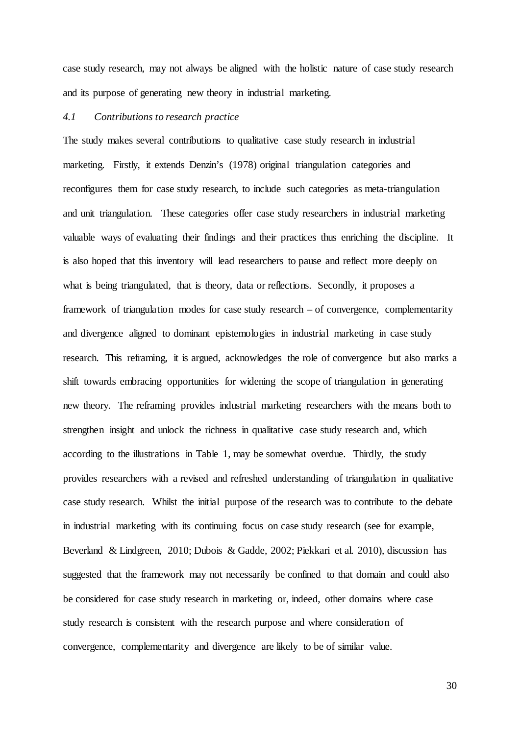case study research, may not always be aligned with the holistic nature of case study research and its purpose of generating new theory in industrial marketing.

#### *4.1 Contributions to research practice*

The study makes several contributions to qualitative case study research in industrial marketing. Firstly, it extends Denzin's (1978) original triangulation categories and reconfigures them for case study research, to include such categories as meta-triangulation and unit triangulation. These categories offer case study researchers in industrial marketing valuable ways of evaluating their findings and their practices thus enriching the discipline. It is also hoped that this inventory will lead researchers to pause and reflect more deeply on what is being triangulated, that is theory, data or reflections. Secondly, it proposes a framework of triangulation modes for case study research – of convergence, complementarity and divergence aligned to dominant epistemologies in industrial marketing in case study research. This reframing, it is argued, acknowledges the role of convergence but also marks a shift towards embracing opportunities for widening the scope of triangulation in generating new theory. The reframing provides industrial marketing researchers with the means both to strengthen insight and unlock the richness in qualitative case study research and, which according to the illustrations in Table 1, may be somewhat overdue. Thirdly, the study provides researchers with a revised and refreshed understanding of triangulation in qualitative case study research. Whilst the initial purpose of the research was to contribute to the debate in industrial marketing with its continuing focus on case study research (see for example, Beverland & Lindgreen, 2010; Dubois & Gadde, 2002; Piekkari et al. 2010), discussion has suggested that the framework may not necessarily be confined to that domain and could also be considered for case study research in marketing or, indeed, other domains where case study research is consistent with the research purpose and where consideration of convergence, complementarity and divergence are likely to be of similar value.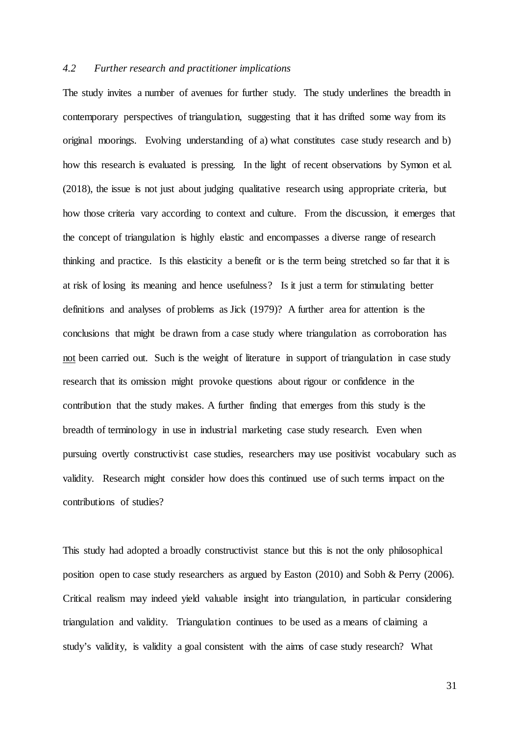#### *4.2 Further research and practitioner implications*

The study invites a number of avenues for further study. The study underlines the breadth in contemporary perspectives of triangulation, suggesting that it has drifted some way from its original moorings. Evolving understanding of a) what constitutes case study research and b) how this research is evaluated is pressing. In the light of recent observations by Symon et al. (2018), the issue is not just about judging qualitative research using appropriate criteria, but how those criteria vary according to context and culture. From the discussion, it emerges that the concept of triangulation is highly elastic and encompasses a diverse range of research thinking and practice. Is this elasticity a benefit or is the term being stretched so far that it is at risk of losing its meaning and hence usefulness? Is it just a term for stimulating better definitions and analyses of problems as Jick (1979)? A further area for attention is the conclusions that might be drawn from a case study where triangulation as corroboration has not been carried out. Such is the weight of literature in support of triangulation in case study research that its omission might provoke questions about rigour or confidence in the contribution that the study makes. A further finding that emerges from this study is the breadth of terminology in use in industrial marketing case study research. Even when pursuing overtly constructivist case studies, researchers may use positivist vocabulary such as validity. Research might consider how does this continued use of such terms impact on the contributions of studies?

This study had adopted a broadly constructivist stance but this is not the only philosophical position open to case study researchers as argued by Easton (2010) and Sobh & Perry (2006). Critical realism may indeed yield valuable insight into triangulation, in particular considering triangulation and validity. Triangulation continues to be used as a means of claiming a study's validity, is validity a goal consistent with the aims of case study research? What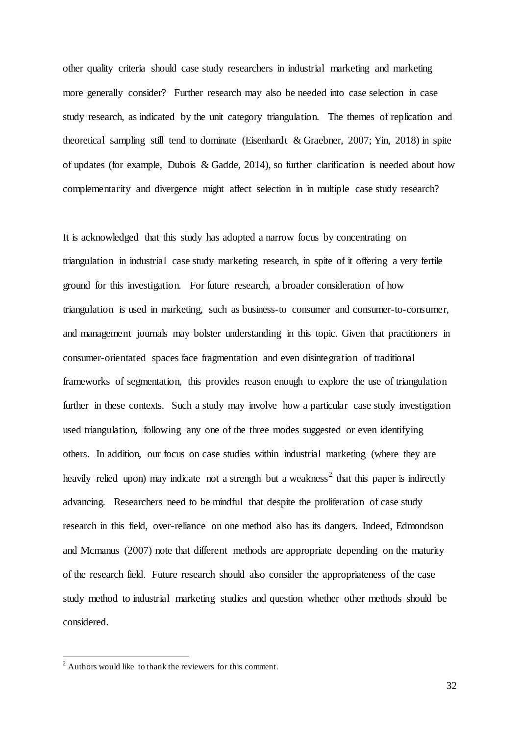other quality criteria should case study researchers in industrial marketing and marketing more generally consider? Further research may also be needed into case selection in case study research, as indicated by the unit category triangulation. The themes of replication and theoretical sampling still tend to dominate (Eisenhardt & Graebner, 2007; Yin, 2018) in spite of updates (for example, Dubois & Gadde, 2014), so further clarification is needed about how complementarity and divergence might affect selection in in multiple case study research?

It is acknowledged that this study has adopted a narrow focus by concentrating on triangulation in industrial case study marketing research, in spite of it offering a very fertile ground for this investigation. For future research, a broader consideration of how triangulation is used in marketing, such as business-to consumer and consumer-to-consumer, and management journals may bolster understanding in this topic. Given that practitioners in consumer-orientated spaces face fragmentation and even disintegration of traditional frameworks of segmentation, this provides reason enough to explore the use of triangulation further in these contexts. Such a study may involve how a particular case study investigation used triangulation, following any one of the three modes suggested or even identifying others. In addition, our focus on case studies within industrial marketing (where they are heavily relied upon) may indicate not a strength but a weakness<sup>[2](#page-32-0)</sup> that this paper is indirectly advancing. Researchers need to be mindful that despite the proliferation of case study research in this field, over-reliance on one method also has its dangers. Indeed, Edmondson and Mcmanus (2007) note that different methods are appropriate depending on the maturity of the research field. Future research should also consider the appropriateness of the case study method to industrial marketing studies and question whether other methods should be considered.

<span id="page-32-0"></span> $2 \text{ Authors would like to thank the reviewers for this comment.}$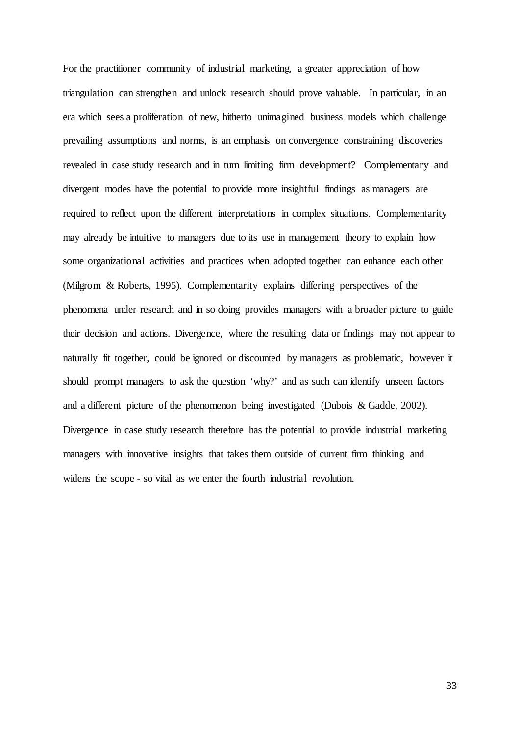For the practitioner community of industrial marketing, a greater appreciation of how triangulation can strengthen and unlock research should prove valuable. In particular, in an era which sees a proliferation of new, hitherto unimagined business models which challenge prevailing assumptions and norms, is an emphasis on convergence constraining discoveries revealed in case study research and in turn limiting firm development? Complementary and divergent modes have the potential to provide more insightful findings as managers are required to reflect upon the different interpretations in complex situations. Complementarity may already be intuitive to managers due to its use in management theory to explain how some organizational activities and practices when adopted together can enhance each other (Milgrom & Roberts, 1995). Complementarity explains differing perspectives of the phenomena under research and in so doing provides managers with a broader picture to guide their decision and actions. Divergence, where the resulting data or findings may not appear to naturally fit together, could be ignored or discounted by managers as problematic, however it should prompt managers to ask the question 'why?' and as such can identify unseen factors and a different picture of the phenomenon being investigated (Dubois & Gadde, 2002). Divergence in case study research therefore has the potential to provide industrial marketing managers with innovative insights that takes them outside of current firm thinking and widens the scope - so vital as we enter the fourth industrial revolution.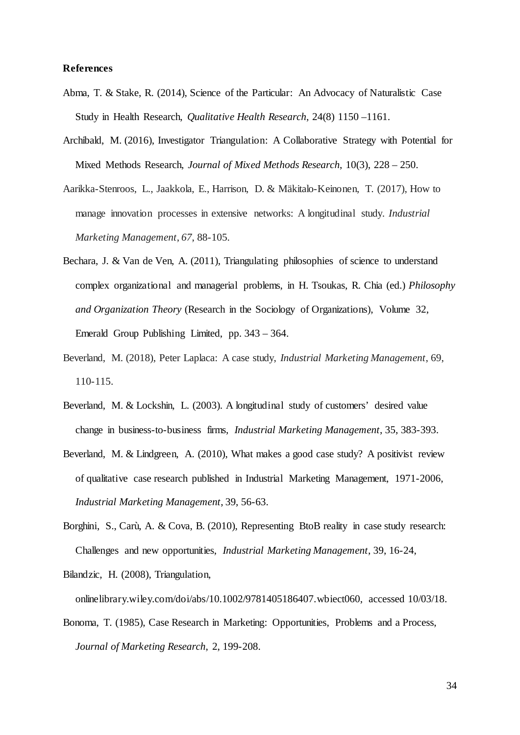# **References**

- Abma, T. & Stake, R. (2014), Science of the Particular: An Advocacy of Naturalistic Case Study in Health Research, *Qualitative Health Research*, 24(8) 1150 –1161.
- Archibald, M. (2016), Investigator Triangulation: A Collaborative Strategy with Potential for Mixed Methods Research, *Journal of Mixed Methods Research*, 10(3), 228 – 250.
- Aarikka-Stenroos, L., Jaakkola, E., Harrison, D. & Mäkitalo-Keinonen, T. (2017), How to manage innovation processes in extensive networks: A longitudinal study. *Industrial Marketing Management*, *67*, 88-105.
- Bechara, J. & Van de Ven, A. (2011), Triangulating philosophies of science to understand complex organizational and managerial problems, in H. Tsoukas, R. Chia (ed.) *Philosophy and Organization Theory* (Research in the Sociology of Organizations), Volume 32, Emerald Group Publishing Limited, pp. 343 – 364.
- Beverland, M. (2018), Peter Laplaca: A case study, *Industrial Marketing Management*, 69, 110-115.
- Beverland, M. & Lockshin, L. (2003). A longitudinal study of customers' desired value change in business-to-business firms, *Industrial Marketing Management*, 35, 383-393.
- Beverland, M. & Lindgreen, A. (2010), What makes a good case study? A positivist review of qualitative case research published in Industrial Marketing Management, 1971-2006, *Industrial Marketing Management*, 39, 56-63.
- Borghini, S., Carù, A. & Cova, B. (2010), Representing BtoB reality in case study research: Challenges and new opportunities, *Industrial Marketing Management*, 39, 16-24,

Bilandzic, H. (2008), Triangulation,

onlinelibrary.wiley.com/doi/abs/10.1002/9781405186407.wbiect060, accessed 10/03/18.

Bonoma, T. (1985), Case Research in Marketing: Opportunities, Problems and a Process, *Journal of Marketing Research*, 2, 199-208.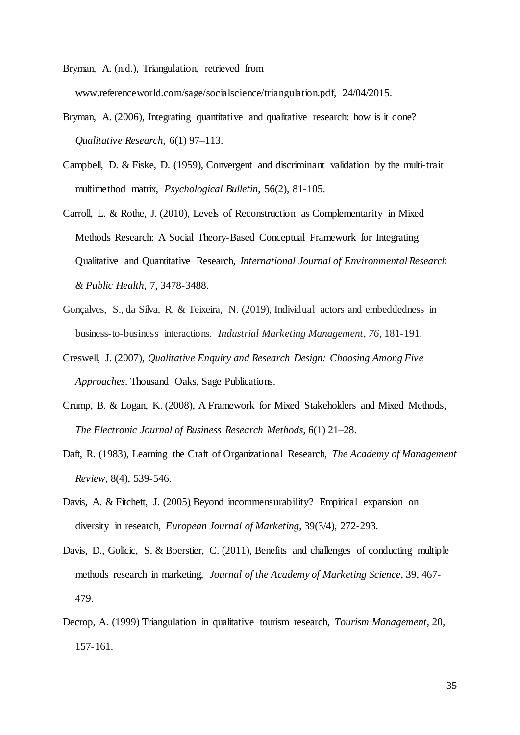Bryman, A. (n.d.), Triangulation, retrieved from

[www.referenceworld.com/sage/socialscience/triangulation.pdf,](http://www.referenceworld.com/sage/socialscience/triangulation.pdf) 24/04/2015.

- Bryman, A. (2006), Integrating quantitative and qualitative research: how is it done? *Qualitative Research*, 6(1) 97–113.
- Campbell, D. & Fiske, D. (1959), Convergent and discriminant validation by the multi-trait multimethod matrix, *Psychological Bulletin*, 56(2), 81-105.
- Carroll, L. & Rothe, J. (2010), Levels of Reconstruction as Complementarity in Mixed Methods Research: A Social Theory-Based Conceptual Framework for Integrating Qualitative and Quantitative Research, *International Journal of Environmental Research & Public Health,* 7, 3478-3488.
- Gonçalves, S., da Silva, R. & Teixeira, N. (2019), Individual actors and embeddedness in business-to-business interactions. *Industrial Marketing Management*, *76*, 181-191.
- Creswell, J. (2007), *Qualitative Enquiry and Research Design: Choosing Among Five Approaches*. Thousand Oaks, Sage Publications.
- Crump, B. & Logan, K. (2008), A Framework for Mixed Stakeholders and Mixed Methods, *The Electronic Journal of Business Research Methods,* 6(1) 21–28.
- Daft, R. (1983), Learning the Craft of Organizational Research, *The Academy of Management Review*, 8(4), 539-546.
- Davis, A. & Fitchett, J. (2005), Beyond incommensurability? Empirical expansion on diversity in research, *European Journal of Marketing*, 39(3/4), 272-293.
- Davis, D., Golicic, S. & Boerstier, C. (2011), Benefits and challenges of conducting multiple methods research in marketing, *Journal of the Academy of Marketing Science*, 39, 467- 479.
- Decrop, A. (1999) Triangulation in qualitative tourism research, *Tourism Management*, 20, 157-161.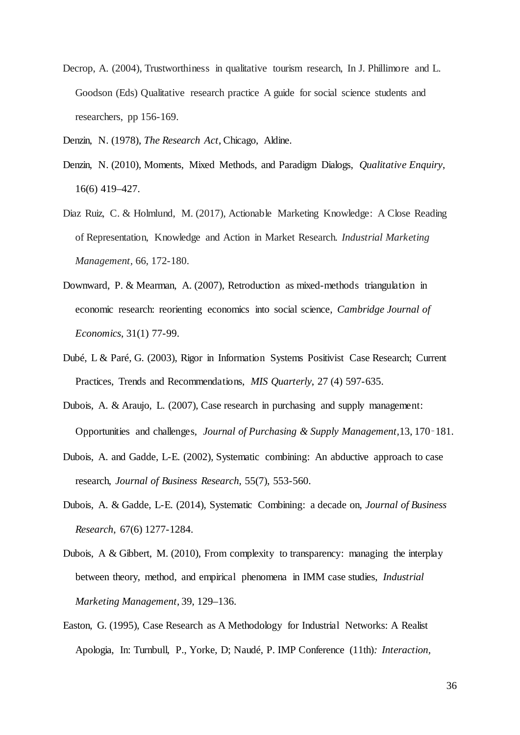Decrop, A. (2004), Trustworthiness in qualitative tourism research, In J. Phillimore and L. Goodson (Eds) Qualitative research practice A guide for social science students and researchers, pp 156-169.

Denzin, N. (1978), *The Research Act*, Chicago, Aldine.

- Denzin, N. (2010), Moments, Mixed Methods, and Paradigm Dialogs, *Qualitative Enquiry*, 16(6) 419–427.
- Diaz Ruiz, C. & Holmlund, M. (2017), Actionable Marketing Knowledge: A Close Reading of Representation, Knowledge and Action in Market Research. *Industrial Marketing Management,* 66, 172-180.
- Downward, P. & Mearman, A. (2007), Retroduction as mixed-methods triangulation in economic research: reorienting economics into social science, *Cambridge Journal of Economics*, 31(1) 77-99.
- Dubé, L & Paré, G. (2003), Rigor in Information Systems Positivist Case Research; Current Practices, Trends and Recommendations, *MIS Quarterly*, 27 (4) 597-635.
- Dubois, A. & Araujo, L. (2007), Case research in purchasing and supply management: Opportunities and challenges, *Journal of Purchasing & Supply Management,*13, 170–181.
- Dubois, A. and Gadde, L-E. (2002), Systematic combining: An abductive approach to case research, *Journal of Business Research*, 55(7), 553-560.
- Dubois, A. & Gadde, L-E. (2014), Systematic Combining: a decade on, *Journal of Business Research*, 67(6) 1277-1284.
- Dubois, A & Gibbert, M. (2010), From complexity to transparency: managing the interplay between theory, method, and empirical phenomena in IMM case studies, *Industrial Marketing Management*, 39, 129–136.
- Easton, G. (1995), Case Research as A Methodology for Industrial Networks: A Realist Apologia, In: Turnbull, P., Yorke, D; Naudé, P. IMP Conference (11th)*: Interaction,*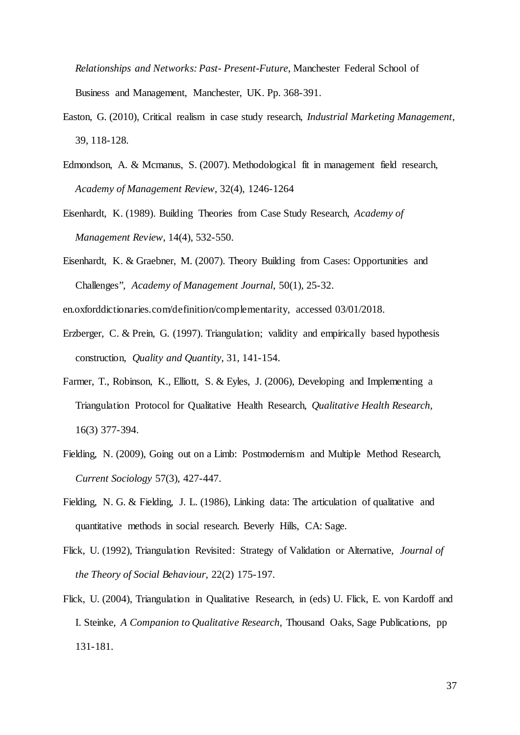*Relationships and Networks: Past- Present-Future*, Manchester Federal School of Business and Management, Manchester, UK. Pp. 368-391.

- Easton, G. (2010), Critical realism in case study research, *Industrial Marketing Management,* 39, 118-128*.*
- Edmondson, A. & Mcmanus, S. (2007). Methodological fit in management field research, *Academy of Management Review*, 32(4), 1246-1264
- Eisenhardt, K. (1989). Building Theories from Case Study Research, *Academy of Management Review*, 14(4), 532-550.
- Eisenhardt, K. & Graebner, M. (2007). Theory Building from Cases: Opportunities and Challenges", *Academy of Management Journal*, 50(1), 25-32.
- en.oxforddictionaries.com/definition/complementarity, accessed 03/01/2018.
- Erzberger, C. & Prein, G. (1997). Triangulation; validity and empirically based hypothesis construction, *Quality and Quantity*, 31, 141-154.
- Farmer, T., Robinson, K., Elliott, S. & Eyles, J. (2006), Developing and Implementing a Triangulation Protocol for Qualitative Health Research, *Qualitative Health Research*, 16(3) 377-394.
- Fielding, N. (2009), Going out on a Limb: Postmodernism and Multiple Method Research, *Current Sociology* 57(3), 427-447.
- Fielding, N. G. & Fielding, J. L. (1986), Linking data: The articulation of qualitative and quantitative methods in social research. Beverly Hills, CA: Sage.
- Flick, U. (1992), Triangulation Revisited: Strategy of Validation or Alternative, *Journal of the Theory of Social Behaviour*, 22(2) 175-197.
- Flick, U. (2004), Triangulation in Qualitative Research, in (eds) U. Flick, E. von Kardoff and I. Steinke, *A Companion to Qualitative Research*, Thousand Oaks, Sage Publications, pp 131-181.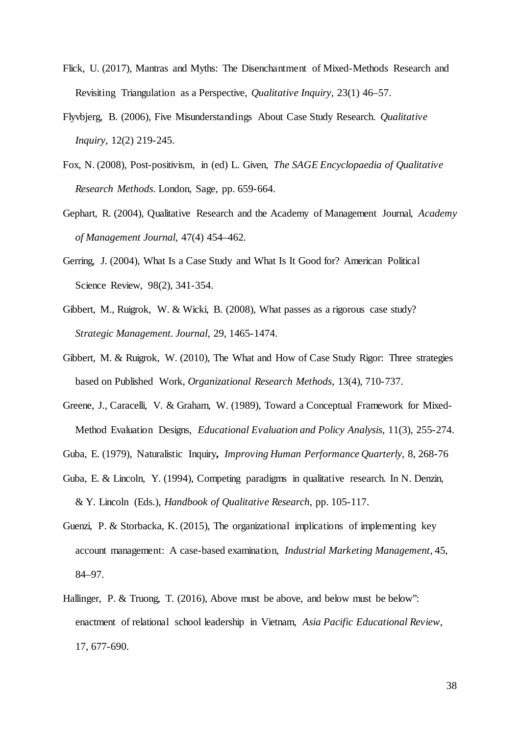- Flick, U. (2017), Mantras and Myths: The Disenchantment of Mixed-Methods Research and Revisiting Triangulation as a Perspective, *Qualitative Inquiry*, 23(1) 46–57.
- Flyvbjerg, B. (2006), Five Misunderstandings About Case Study Research. *Qualitative Inquiry*, 12(2) 219-245.
- Fox, N. (2008), Post-positivism, in (ed) L. Given, *The SAGE Encyclopaedia of Qualitative Research Methods*. London, Sage, pp. 659-664.
- Gephart, R. (2004), Qualitative Research and the Academy of Management Journal, *Academy of Management Journal,* 47(4) 454–462.
- Gerring, J. (2004), What Is a Case Study and What Is It Good for? American Political Science Review, 98(2), 341-354.
- Gibbert, M., Ruigrok, W. & Wicki, B. (2008), What passes as a rigorous case study? *Strategic Management. Journal*, 29, 1465-1474.
- Gibbert, M. & Ruigrok, W. (2010), The What and How of Case Study Rigor: Three strategies based on Published Work, *Organizational Research Methods*, 13(4), 710-737.
- Greene, J., Caracelli, V. & Graham, W. (1989), Toward a Conceptual Framework for Mixed-Method Evaluation Designs, *Educational Evaluation and Policy Analysis*, 11(3), 255-274.
- Guba, E. (1979), Naturalistic Inquiry**,** *Improving Human Performance Quarterly*, 8, 268-76
- Guba, E. & Lincoln, Y. (1994), Competing paradigms in qualitative research. In N. Denzin, & Y. Lincoln (Eds.), *Handbook of Qualitative Research*, pp. 105-117.
- Guenzi, P. & Storbacka, K. (2015), The organizational implications of implementing key account management: A case-based examination, *Industrial Marketing Management*, 45, 84–97.
- Hallinger, P. & Truong, T. (2016), Above must be above, and below must be below": enactment of relational school leadership in Vietnam, *Asia Pacific Educational Review*, 17, 677-690.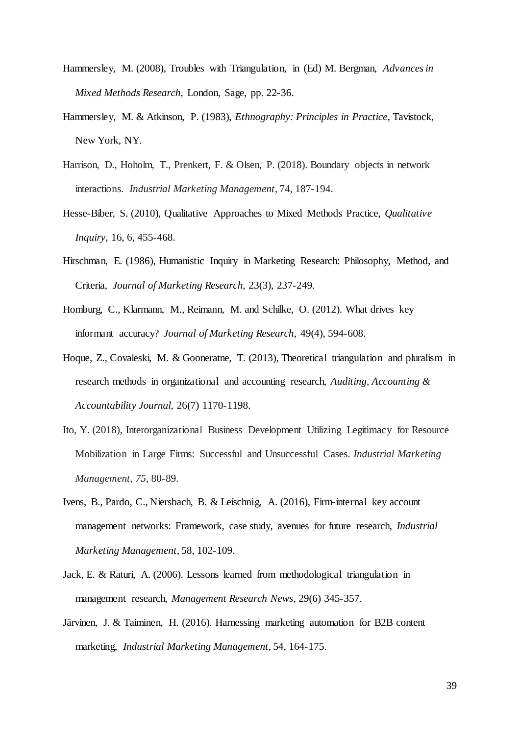- Hammersley, M. (2008), Troubles with Triangulation, in (Ed) M. Bergman, *Advances in Mixed Methods Research*, London, Sage, pp. 22-36.
- Hammersley, M. & Atkinson, P. (1983), *Ethnography: Principles in Practice*, Tavistock, New York, NY.
- Harrison, D., Hoholm, T., Prenkert, F. & Olsen, P. (2018). Boundary objects in network interactions. *Industrial Marketing Management*, 74, 187-194.
- Hesse-Biber, S. (2010), Qualitative Approaches to Mixed Methods Practice, *Qualitative Inquiry*, 16, 6, 455-468.
- Hirschman, E. (1986), Humanistic Inquiry in Marketing Research: Philosophy, Method, and Criteria, *Journal of Marketing Research*, 23(3), 237-249.
- Homburg, C., Klarmann, M., Reimann, M. and Schilke, O. (2012). What drives key informant accuracy? *Journal of Marketing Research*, 49(4), 594-608.
- Hoque, Z., Covaleski, M. & Gooneratne, T. (2013), Theoretical triangulation and pluralism in research methods in organizational and accounting research, *Auditing, Accounting & Accountability Journal*, 26(7) 1170-1198.
- Ito, Y. (2018), Interorganizational Business Development Utilizing Legitimacy for Resource Mobilization in Large Firms: Successful and Unsuccessful Cases. *Industrial Marketing Management*, *75*, 80-89.
- Ivens, B., Pardo, C., Niersbach, B. & Leischnig, A. (2016), Firm-internal key account management networks: Framework, case study, avenues for future research, *Industrial Marketing Management*, 58, 102-109.
- Jack, E. & Raturi, A. (2006). Lessons learned from methodological triangulation in management research, *Management Research News*, 29(6) 345-357.
- Järvinen, J. & Taiminen, H. (2016). Harnessing marketing automation for B2B content marketing, *Industrial Marketing Management*, 54, 164-175.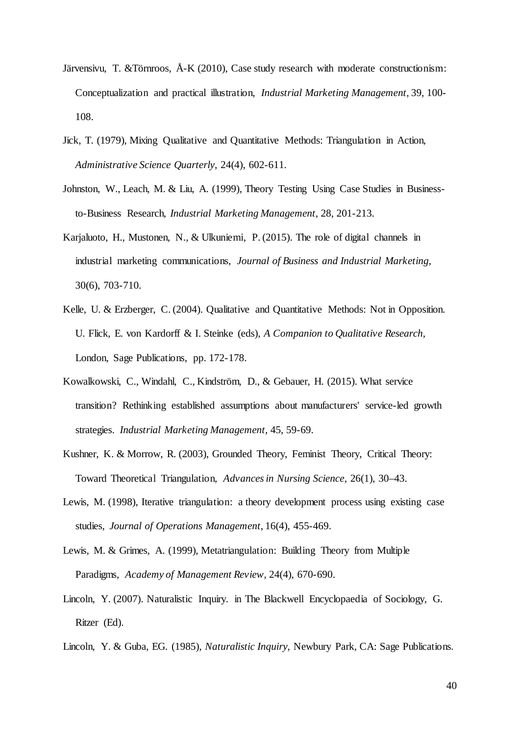- Järvensivu, T. &Törnroos, Å-K (2010), Case study research with moderate constructionism: Conceptualization and practical illustration, *Industrial Marketing Management,* 39, 100- 108.
- Jick, T. (1979), Mixing Qualitative and Quantitative Methods: Triangulation in Action, *Administrative Science Quarterly*, 24(4), 602-611.
- Johnston, W., Leach, M. & Liu, A. (1999), Theory Testing Using Case Studies in Businessto-Business Research, *Industrial Marketing Management*, 28, 201-213.
- Karjaluoto, H., Mustonen, N., & Ulkuniemi, P. (2015). The role of digital channels in industrial marketing communications, *Journal of Business and Industrial Marketing*, 30(6), 703-710.
- Kelle, U. & Erzberger, C. (2004). Qualitative and Quantitative Methods: Not in Opposition. U. Flick, E. von Kardorff & I. Steinke (eds), *A Companion to Qualitative Research*, London, Sage Publications, pp. 172-178.
- Kowalkowski, C., Windahl, C., Kindström, D., & Gebauer, H. (2015). What service transition? Rethinking established assumptions about manufacturers' service-led growth strategies. *Industrial Marketing Management*, 45, 59-69.
- Kushner, K. & Morrow, R. (2003), Grounded Theory, Feminist Theory, Critical Theory: Toward Theoretical Triangulation, *Advances in Nursing Science*, 26(1), 30–43.
- Lewis, M. (1998), Iterative triangulation: a theory development process using existing case studies, *Journal of Operations Management*, 16(4), 455-469.
- Lewis, M. & Grimes, A. (1999), Metatriangulation: Building Theory from Multiple Paradigms, *Academy of Management Review*, 24(4), 670-690.
- Lincoln, Y. (2007). Naturalistic Inquiry. in The Blackwell Encyclopaedia of Sociology, G. Ritzer (Ed).
- Lincoln, Y. & Guba, EG. (1985), *Naturalistic Inquiry*, Newbury Park, CA: Sage Publications.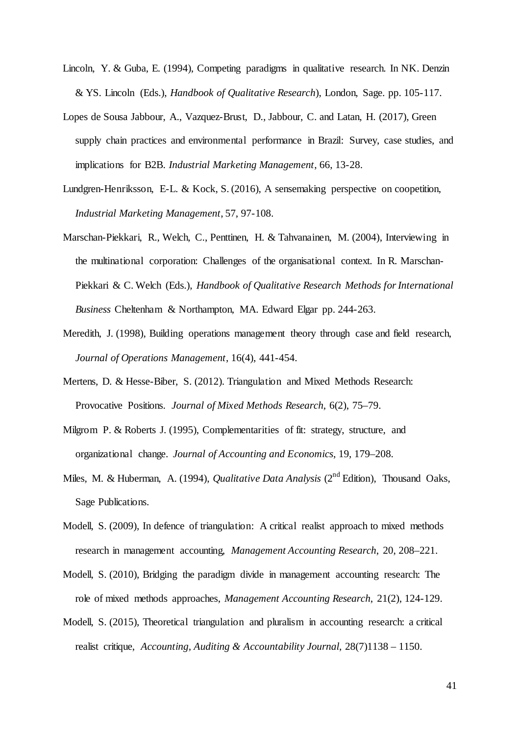- Lincoln, Y. & Guba, E. (1994), Competing paradigms in qualitative research. In NK. Denzin & YS. Lincoln (Eds.), *Handbook of Qualitative Research*), London, Sage. pp. 105-117.
- Lopes de Sousa Jabbour, A., Vazquez-Brust, D., Jabbour, C. and Latan, H. (2017), Green supply chain practices and environmental performance in Brazil: Survey, case studies, and implications for B2B. *Industrial Marketing Management*, 66, 13-28.
- Lundgren-Henriksson, E-L. & Kock, S. (2016), A sensemaking perspective on coopetition, *Industrial Marketing Management*, 57, 97-108.
- Marschan-Piekkari, R., Welch, C., Penttinen, H. & Tahvanainen, M. (2004), Interviewing in the multinational corporation: Challenges of the organisational context. In R. Marschan-Piekkari & C. Welch (Eds.), *Handbook of Qualitative Research Methods for International Business* Cheltenham & Northampton, MA. Edward Elgar pp. 244-263.
- Meredith, J. (1998), Building operations management theory through case and field research, *Journal of Operations Management*, 16(4), 441-454.
- Mertens, D. & Hesse-Biber, S. (2012). Triangulation and Mixed Methods Research: Provocative Positions. *Journal of Mixed Methods Research*, 6(2), 75–79.
- Milgrom P. & Roberts J. (1995), Complementarities of fit: strategy, structure, and organizational change. *Journal of Accounting and Economics*, 19, 179–208.
- Miles, M. & Huberman, A. (1994), *Qualitative Data Analysis* (2<sup>nd</sup> Edition), Thousand Oaks, Sage Publications.
- Modell, S. (2009), In defence of triangulation: A critical realist approach to mixed methods research in management accounting, *Management Accounting Research*, 20, 208–221.
- Modell, S. (2010), Bridging the paradigm divide in management accounting research: The role of mixed methods approaches, *Management Accounting Research*, 21(2), 124-129.
- Modell, S. (2015), Theoretical triangulation and pluralism in accounting research: a critical realist critique, *Accounting, Auditing & Accountability Journal*, 28(7)1138 – 1150.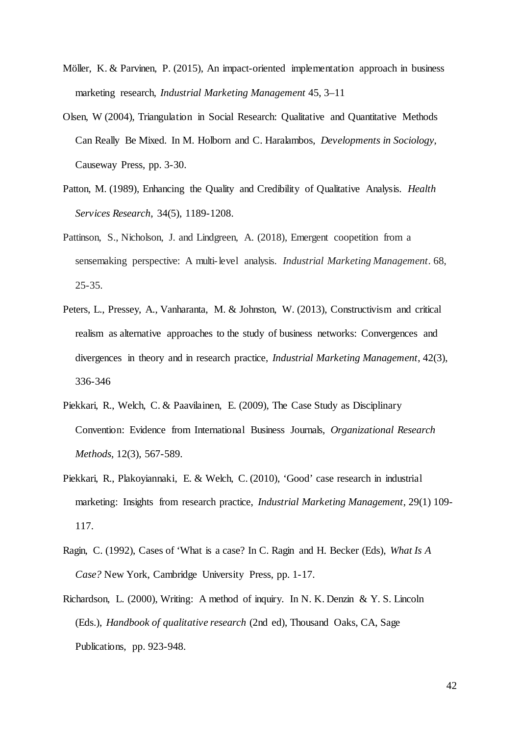- Möller, K. & Parvinen, P. (2015), An impact-oriented implementation approach in business marketing research, *Industrial Marketing Management* 45, 3–11
- Olsen, W (2004), Triangulation in Social Research: Qualitative and Quantitative Methods Can Really Be Mixed. In M. Holborn and C. Haralambos, *Developments in Sociology*, Causeway Press, pp. 3-30.
- Patton, M. (1989), Enhancing the Quality and Credibility of Qualitative Analysis. *Health Services Research*, 34(5), 1189-1208.
- Pattinson, S., Nicholson, J. and Lindgreen, A. (2018), Emergent coopetition from a sensemaking perspective: A multi-level analysis. *Industrial Marketing Management*. 68, 25-35.
- Peters, L., Pressey, A., Vanharanta, M. & Johnston, W. (2013), Constructivism and critical realism as alternative approaches to the study of business networks: Convergences and divergences in theory and in research practice, *Industrial Marketing Management*, 42(3), 336-346
- Piekkari, R., Welch, C. & Paavilainen, E. (2009), The Case Study as Disciplinary Convention: Evidence from International Business Journals, *Organizational Research Methods*, 12(3), 567-589.
- Piekkari, R., Plakoyiannaki, E. & Welch, C. (2010), 'Good' case research in industrial marketing: Insights from research practice, *Industrial Marketing Management*, 29(1) 109- 117.
- Ragin, C. (1992), Cases of 'What is a case? In C. Ragin and H. Becker (Eds), *What Is A Case?* New York, Cambridge University Press, pp. 1-17.
- Richardson, L. (2000), Writing: A method of inquiry. In N. K. Denzin & Y. S. Lincoln (Eds.), *Handbook of qualitative research* (2nd ed), Thousand Oaks, CA, Sage Publications, pp. 923-948.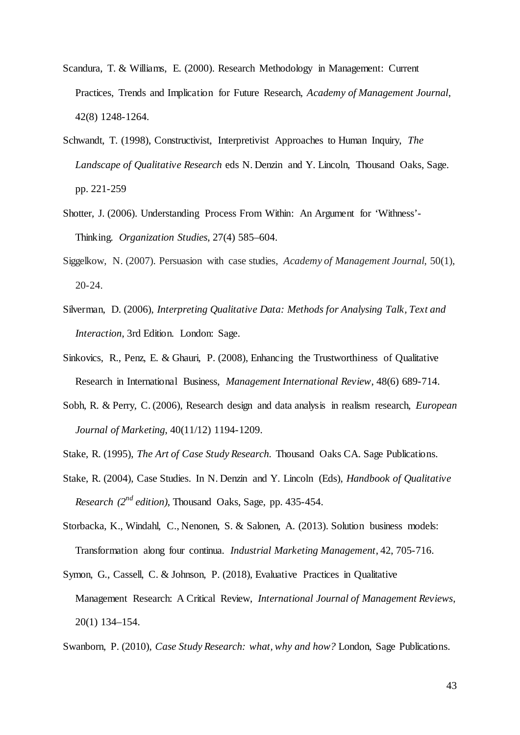- Scandura, T. & Williams, E. (2000). Research Methodology in Management: Current Practices, Trends and Implication for Future Research, *Academy of Management Journal*, 42(8) 1248-1264.
- Schwandt, T. (1998), Constructivist, Interpretivist Approaches to Human Inquiry, *The Landscape of Qualitative Research* eds N. Denzin and Y. Lincoln, Thousand Oaks, Sage. pp. 221-259
- Shotter, J. (2006). Understanding Process From Within: An Argument for 'Withness'- Thinking. *Organization Studies*, 27(4) 585–604.
- Siggelkow, N. (2007). Persuasion with case studies, *Academy of Management Journal*, 50(1), 20-24.
- Silverman, D. (2006), *Interpreting Qualitative Data: Methods for Analysing Talk, Text and Interaction*, 3rd Edition. London: Sage.
- Sinkovics, R., Penz, E. & Ghauri, P. (2008), Enhancing the Trustworthiness of Qualitative Research in International Business, *Management International Review*, 48(6) 689-714.
- Sobh, R. & Perry, C. (2006), Research design and data analysis in realism research, *European Journal of Marketing*, 40(11/12) 1194-1209.
- Stake, R. (1995), *The Art of Case Study Research.* Thousand Oaks CA. Sage Publications.
- Stake, R. (2004), Case Studies. In N. Denzin and Y. Lincoln (Eds), *Handbook of Qualitative Research (2nd edition)*, Thousand Oaks, Sage, pp. 435-454.
- Storbacka, K., Windahl, C., Nenonen, S. & Salonen, A. (2013). Solution business models: Transformation along four continua. *Industrial Marketing Management*, 42, 705-716.
- Symon, G., Cassell, C. & Johnson, P. (2018), Evaluative Practices in Qualitative Management Research: A Critical Review, *International Journal of Management Reviews*, 20(1) 134–154.
- Swanborn, P. (2010), *Case Study Research: what, why and how?* London, Sage Publications.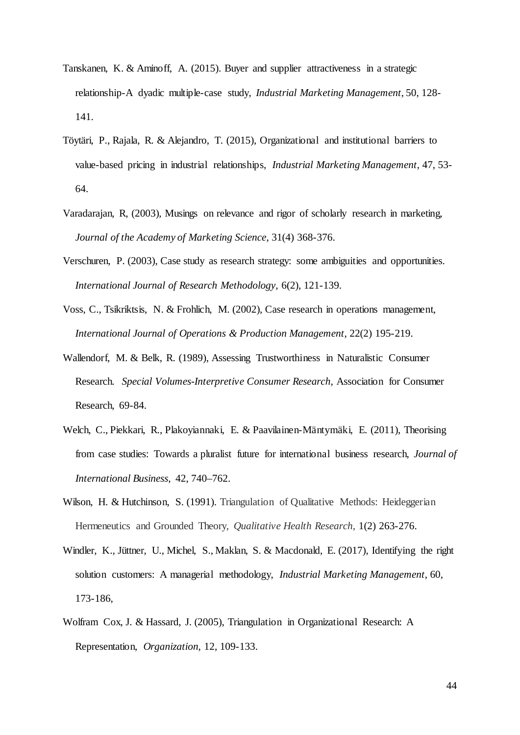- Tanskanen, K. & Aminoff, A. (2015). Buyer and supplier attractiveness in a strategic relationship-A dyadic multiple-case study, *Industrial Marketing Management*, 50, 128- 141.
- Töytäri, P., Rajala, R. & Alejandro, T. (2015), Organizational and institutional barriers to value-based pricing in industrial relationships, *Industrial Marketing Management*, 47, 53- 64.
- Varadarajan, R, (2003), Musings on relevance and rigor of scholarly research in marketing, *Journal of the Academy of Marketing Science*, 31(4) 368-376.
- Verschuren, P. (2003), Case study as research strategy: some ambiguities and opportunities. *International Journal of Research Methodology*, 6(2), 121-139.
- Voss, C., Tsikriktsis, N. & Frohlich, M. (2002), Case research in operations management, *International Journal of Operations & Production Management*, 22(2) 195-219.
- Wallendorf, M. & Belk, R. (1989), Assessing Trustworthiness in Naturalistic Consumer Research. *Special Volumes-Interpretive Consumer Research*, Association for Consumer Research, 69-84.
- Welch, C., Piekkari, R., Plakoyiannaki, E. & Paavilainen-Mäntymäki, E. (2011), Theorising from case studies: Towards a pluralist future for international business research, *Journal of International Business*, 42, 740–762.
- Wilson, H. & Hutchinson, S. (1991). Triangulation of Qualitative Methods: Heideggerian Hermeneutics and Grounded Theory, *Qualitative Health Research*, 1(2) 263-276.
- Windler, K., Jüttner, U., Michel, S., Maklan, S. & Macdonald, E. (2017), Identifying the right solution customers: A managerial methodology, *Industrial Marketing Management*, 60, 173-186,
- Wolfram Cox, J. & Hassard, J. (2005), Triangulation in Organizational Research: A Representation, *Organization*, 12, 109-133.